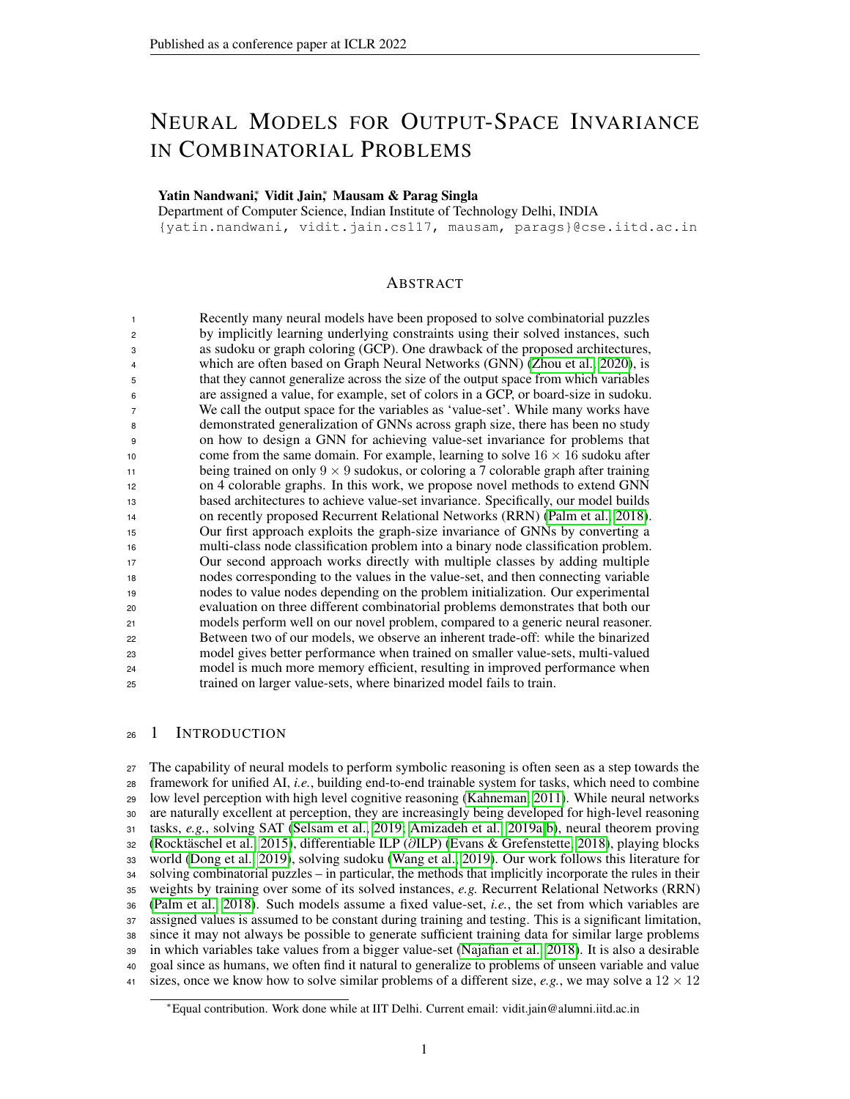# NEURAL MODELS FOR OUTPUT-SPACE INVARIANCE IN COMBINATORIAL PROBLEMS

# Yatin Nandwani<sup>∗</sup>, Vidit Jain<sup>∗</sup>, Mausam & Parag Singla

Department of Computer Science, Indian Institute of Technology Delhi, INDIA {yatin.nandwani, vidit.jain.cs117, mausam, parags}@cse.iitd.ac.in

# ABSTRACT

| $\overline{1}$  | Recently many neural models have been proposed to solve combinatorial puzzles              |
|-----------------|--------------------------------------------------------------------------------------------|
| $\overline{c}$  | by implicitly learning underlying constraints using their solved instances, such           |
| 3               | as sudoku or graph coloring (GCP). One drawback of the proposed architectures,             |
| $\overline{4}$  | which are often based on Graph Neural Networks (GNN) (Zhou et al., 2020), is               |
| 5               | that they cannot generalize across the size of the output space from which variables       |
| 6               | are assigned a value, for example, set of colors in a GCP, or board-size in sudoku.        |
| $\overline{7}$  | We call the output space for the variables as 'value-set'. While many works have           |
| 8               | demonstrated generalization of GNNs across graph size, there has been no study             |
| 9               | on how to design a GNN for achieving value-set invariance for problems that                |
| 10              | come from the same domain. For example, learning to solve $16 \times 16$ sudoku after      |
| 11              | being trained on only $9 \times 9$ sudokus, or coloring a 7 colorable graph after training |
| 12 <sup>2</sup> | on 4 colorable graphs. In this work, we propose novel methods to extend GNN                |
| 13              | based architectures to achieve value-set invariance. Specifically, our model builds        |
| 14              | on recently proposed Recurrent Relational Networks (RRN) (Palm et al., 2018).              |
| 15              | Our first approach exploits the graph-size invariance of GNNs by converting a              |
| 16              | multi-class node classification problem into a binary node classification problem.         |
| 17              | Our second approach works directly with multiple classes by adding multiple                |
| 18              | nodes corresponding to the values in the value-set, and then connecting variable           |
| 19              | nodes to value nodes depending on the problem initialization. Our experimental             |
| 20              | evaluation on three different combinatorial problems demonstrates that both our            |
| 21              | models perform well on our novel problem, compared to a generic neural reasoner.           |
| 22              | Between two of our models, we observe an inherent trade-off: while the binarized           |
| 23              | model gives better performance when trained on smaller value-sets, multi-valued            |
| 24              | model is much more memory efficient, resulting in improved performance when                |
| 25              | trained on larger value-sets, where binarized model fails to train.                        |
|                 |                                                                                            |

# 26 1 INTRODUCTION

 The capability of neural models to perform symbolic reasoning is often seen as a step towards the framework for unified AI, *i.e.*, building end-to-end trainable system for tasks, which need to combine low level perception with high level cognitive reasoning [\(Kahneman, 2011\)](#page-10-0). While neural networks are naturally excellent at perception, they are increasingly being developed for high-level reasoning tasks, *e.g.*, solving SAT [\(Selsam et al., 2019;](#page-11-2) [Amizadeh et al., 2019a;](#page-9-0)[b\)](#page-9-1), neural theorem proving [\(Rocktäschel et al., 2015\)](#page-11-3), differentiable ILP (∂ILP) [\(Evans & Grefenstette, 2018\)](#page-10-1), playing blocks world [\(Dong et al., 2019\)](#page-10-2), solving sudoku [\(Wang et al., 2019\)](#page-11-4). Our work follows this literature for solving combinatorial puzzles – in particular, the methods that implicitly incorporate the rules in their weights by training over some of its solved instances, *e.g.* Recurrent Relational Networks (RRN) [\(Palm et al., 2018\)](#page-11-1). Such models assume a fixed value-set, *i.e.*, the set from which variables are assigned values is assumed to be constant during training and testing. This is a significant limitation, since it may not always be possible to generate sufficient training data for similar large problems in which variables take values from a bigger value-set [\(Najafian et al., 2018\)](#page-11-5). It is also a desirable goal since as humans, we often find it natural to generalize to problems of unseen variable and value 41 sizes, once we know how to solve similar problems of a different size, *e.g.*, we may solve a  $12 \times 12$ 

<sup>∗</sup>Equal contribution. Work done while at IIT Delhi. Current email: vidit.jain@alumni.iitd.ac.in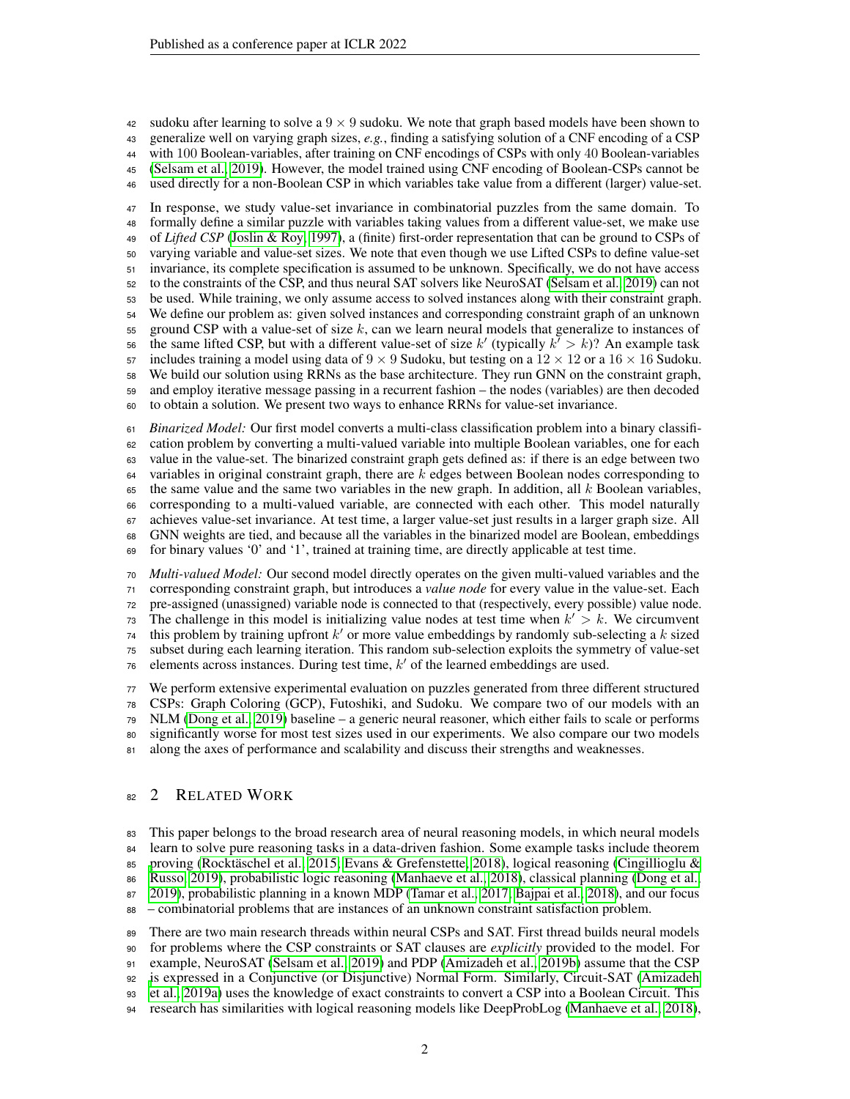42 sudoku after learning to solve a  $9 \times 9$  sudoku. We note that graph based models have been shown to generalize well on varying graph sizes, *e.g.*, finding a satisfying solution of a CNF encoding of a CSP with 100 Boolean-variables, after training on CNF encodings of CSPs with only 40 Boolean-variables [\(Selsam et al., 2019\)](#page-11-2). However, the model trained using CNF encoding of Boolean-CSPs cannot be used directly for a non-Boolean CSP in which variables take value from a different (larger) value-set.

 In response, we study value-set invariance in combinatorial puzzles from the same domain. To formally define a similar puzzle with variables taking values from a different value-set, we make use of *Lifted CSP* [\(Joslin & Roy, 1997\)](#page-10-3), a (finite) first-order representation that can be ground to CSPs of varying variable and value-set sizes. We note that even though we use Lifted CSPs to define value-set invariance, its complete specification is assumed to be unknown. Specifically, we do not have access to the constraints of the CSP, and thus neural SAT solvers like NeuroSAT [\(Selsam et al., 2019\)](#page-11-2) can not be used. While training, we only assume access to solved instances along with their constraint graph. We define our problem as: given solved instances and corresponding constraint graph of an unknown ground CSP with a value-set of size k, can we learn neural models that generalize to instances of 56 the same lifted CSP, but with a different value-set of size k' (typically  $k^7 > k$ )? An example task 57 includes training a model using data of  $9 \times 9$  Sudoku, but testing on a  $12 \times 12$  or a  $16 \times 16$  Sudoku. We build our solution using RRNs as the base architecture. They run GNN on the constraint graph, and employ iterative message passing in a recurrent fashion – the nodes (variables) are then decoded to obtain a solution. We present two ways to enhance RRNs for value-set invariance.

 *Binarized Model:* Our first model converts a multi-class classification problem into a binary classifi- cation problem by converting a multi-valued variable into multiple Boolean variables, one for each value in the value-set. The binarized constraint graph gets defined as: if there is an edge between two variables in original constraint graph, there are k edges between Boolean nodes corresponding to the same value and the same two variables in the new graph. In addition, all k Boolean variables, corresponding to a multi-valued variable, are connected with each other. This model naturally achieves value-set invariance. At test time, a larger value-set just results in a larger graph size. All GNN weights are tied, and because all the variables in the binarized model are Boolean, embeddings for binary values '0' and '1', trained at training time, are directly applicable at test time.

 *Multi-valued Model:* Our second model directly operates on the given multi-valued variables and the corresponding constraint graph, but introduces a *value node* for every value in the value-set. Each pre-assigned (unassigned) variable node is connected to that (respectively, every possible) value node. The challenge in this model is initializing value nodes at test time when  $k' > k$ . We circumvent this problem by training upfront  $k'$  or more value embeddings by randomly sub-selecting a k sized subset during each learning iteration. This random sub-selection exploits the symmetry of value-set elements across instances. During test time,  $k'$  of the learned embeddings are used.

 We perform extensive experimental evaluation on puzzles generated from three different structured CSPs: Graph Coloring (GCP), Futoshiki, and Sudoku. We compare two of our models with an NLM [\(Dong et al., 2019\)](#page-10-2) baseline – a generic neural reasoner, which either fails to scale or performs significantly worse for most test sizes used in our experiments. We also compare our two models along the axes of performance and scalability and discuss their strengths and weaknesses.

# 82 2 RELATED WORK

 This paper belongs to the broad research area of neural reasoning models, in which neural models learn to solve pure reasoning tasks in a data-driven fashion. Some example tasks include theorem [p](#page-10-4)roving [\(Rocktäschel et al., 2015;](#page-11-3) [Evans & Grefenstette, 2018\)](#page-10-1), logical reasoning [\(Cingillioglu &](#page-10-4) [Russo, 2019\)](#page-10-4), probabilistic logic reasoning [\(Manhaeve et al., 2018\)](#page-10-5), classical planning [\(Dong et al.,](#page-10-2) [2019\)](#page-10-2), probabilistic planning in a known MDP [\(Tamar et al., 2017;](#page-11-6) [Bajpai et al., 2018\)](#page-9-2), and our focus – combinatorial problems that are instances of an unknown constraint satisfaction problem. There are two main research threads within neural CSPs and SAT. First thread builds neural models

 for problems where the CSP constraints or SAT clauses are *explicitly* provided to the model. For example, NeuroSAT [\(Selsam et al., 2019\)](#page-11-2) and PDP [\(Amizadeh et al., 2019b\)](#page-9-1) assume that the CSP [i](#page-9-0)s expressed in a Conjunctive (or Disjunctive) Normal Form. Similarly, Circuit-SAT [\(Amizadeh](#page-9-0) [et al., 2019a\)](#page-9-0) uses the knowledge of exact constraints to convert a CSP into a Boolean Circuit. This

research has similarities with logical reasoning models like DeepProbLog [\(Manhaeve et al., 2018\)](#page-10-5),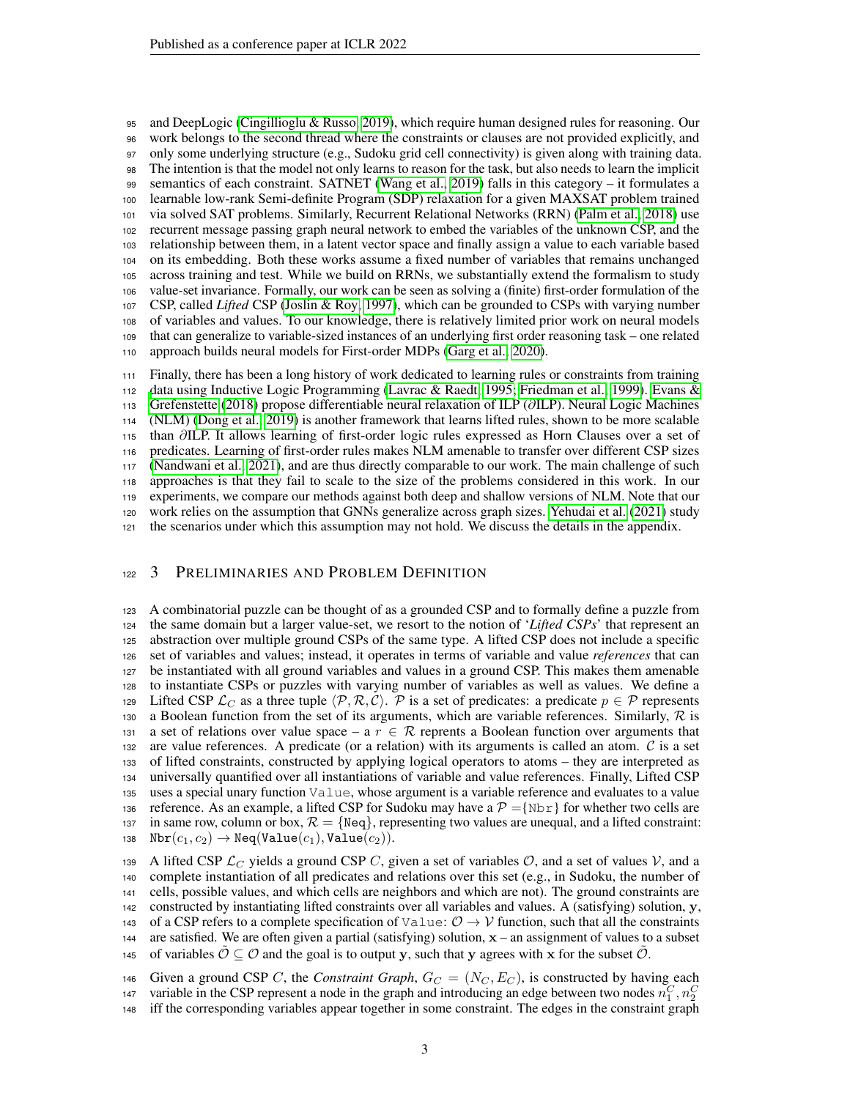and DeepLogic [\(Cingillioglu & Russo, 2019\)](#page-10-4), which require human designed rules for reasoning. Our work belongs to the second thread where the constraints or clauses are not provided explicitly, and only some underlying structure (e.g., Sudoku grid cell connectivity) is given along with training data. The intention is that the model not only learns to reason for the task, but also needs to learn the implicit semantics of each constraint. SATNET [\(Wang et al., 2019\)](#page-11-4) falls in this category – it formulates a learnable low-rank Semi-definite Program (SDP) relaxation for a given MAXSAT problem trained via solved SAT problems. Similarly, Recurrent Relational Networks (RRN) [\(Palm et al., 2018\)](#page-11-1) use recurrent message passing graph neural network to embed the variables of the unknown CSP, and the relationship between them, in a latent vector space and finally assign a value to each variable based on its embedding. Both these works assume a fixed number of variables that remains unchanged across training and test. While we build on RRNs, we substantially extend the formalism to study value-set invariance. Formally, our work can be seen as solving a (finite) first-order formulation of the CSP, called *Lifted* CSP [\(Joslin & Roy, 1997\)](#page-10-3), which can be grounded to CSPs with varying number of variables and values. To our knowledge, there is relatively limited prior work on neural models that can generalize to variable-sized instances of an underlying first order reasoning task – one related approach builds neural models for First-order MDPs [\(Garg et al., 2020\)](#page-10-6).

 Finally, there has been a long history of work dedicated to learning rules or constraints from training [d](#page-10-1)ata using Inductive Logic Programming [\(Lavrac & Raedt, 1995;](#page-10-7) [Friedman et al., 1999\)](#page-10-8). [Evans &](#page-10-1) [Grefenstette](#page-10-1) [\(2018\)](#page-10-1) propose differentiable neural relaxation of ILP (∂ILP). Neural Logic Machines (NLM) [\(Dong et al., 2019\)](#page-10-2) is another framework that learns lifted rules, shown to be more scalable than ∂ILP. It allows learning of first-order logic rules expressed as Horn Clauses over a set of predicates. Learning of first-order rules makes NLM amenable to transfer over different CSP sizes [\(Nandwani et al., 2021\)](#page-11-7), and are thus directly comparable to our work. The main challenge of such approaches is that they fail to scale to the size of the problems considered in this work. In our experiments, we compare our methods against both deep and shallow versions of NLM. Note that our work relies on the assumption that GNNs generalize across graph sizes. [Yehudai et al.](#page-11-8) [\(2021\)](#page-11-8) study the scenarios under which this assumption may not hold. We discuss the details in the appendix.

# <span id="page-2-0"></span>122 3 PRELIMINARIES AND PROBLEM DEFINITION

 A combinatorial puzzle can be thought of as a grounded CSP and to formally define a puzzle from the same domain but a larger value-set, we resort to the notion of '*Lifted CSPs*' that represent an abstraction over multiple ground CSPs of the same type. A lifted CSP does not include a specific set of variables and values; instead, it operates in terms of variable and value *references* that can be instantiated with all ground variables and values in a ground CSP. This makes them amenable to instantiate CSPs or puzzles with varying number of variables as well as values. We define a 129 Lifted CSP  $\mathcal{L}_C$  as a three tuple  $\langle \mathcal{P}, \mathcal{R}, \mathcal{C} \rangle$ .  $\mathcal{P}$  is a set of predicates: a predicate  $p \in \mathcal{P}$  represents 130 a Boolean function from the set of its arguments, which are variable references. Similarly,  $\mathcal{R}$  is 131 a set of relations over value space – a  $r \in \mathcal{R}$  reprents a Boolean function over arguments that 132 are value references. A predicate (or a relation) with its arguments is called an atom.  $\mathcal C$  is a set of lifted constraints, constructed by applying logical operators to atoms – they are interpreted as universally quantified over all instantiations of variable and value references. Finally, Lifted CSP uses a special unary function Value, whose argument is a variable reference and evaluates to a value 136 reference. As an example, a lifted CSP for Sudoku may have a  $\mathcal{P} = \{\text{Nbr}\}\$ for whether two cells are 137 in same row, column or box,  $\mathcal{R} = \{ \text{Neq} \}$ , representing two values are unequal, and a lifted constraint:  $Nbr(c_1, c_2) \rightarrow Neg(Value(c_1), Value(c_2)).$ 

139 A lifted CSP  $\mathcal{L}_C$  yields a ground CSP C, given a set of variables  $\mathcal{O}$ , and a set of values  $\mathcal{V}$ , and a complete instantiation of all predicates and relations over this set (e.g., in Sudoku, the number of cells, possible values, and which cells are neighbors and which are not). The ground constraints are constructed by instantiating lifted constraints over all variables and values. A (satisfying) solution, y, 143 of a CSP refers to a complete specification of Value:  $\mathcal{O} \to \mathcal{V}$  function, such that all the constraints 144 are satisfied. We are often given a partial (satisfying) solution,  $x -$  an assignment of values to a subset 145 of variables  $\mathcal{O} \subseteq \mathcal{O}$  and the goal is to output y, such that y agrees with x for the subset  $\mathcal{O}$ .

146 Given a ground CSP C, the *Constraint Graph*,  $G_C = (N_C, E_C)$ , is constructed by having each variable in the CSP represent a node in the graph and introducing an edge between two nodes  $n_1^C, n_2^C$ 

iff the corresponding variables appear together in some constraint. The edges in the constraint graph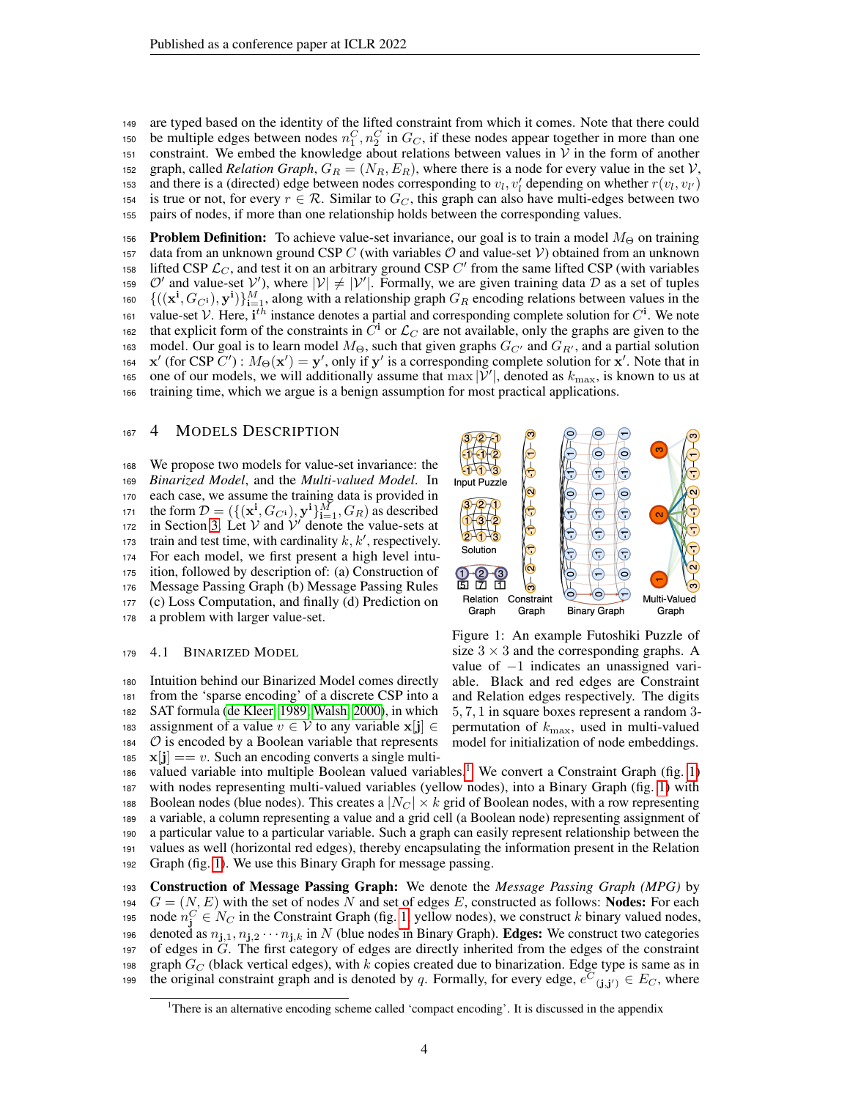<sup>149</sup> are typed based on the identity of the lifted constraint from which it comes. Note that there could 150 be multiple edges between nodes  $n_1^C$ ,  $n_2^C$  in  $G_C$ , if these nodes appear together in more than one 151 constraint. We embed the knowledge about relations between values in  $V$  in the form of another 152 graph, called *Relation Graph*,  $G_R = (N_R, E_R)$ , where there is a node for every value in the set  $V$ , 153 and there is a (directed) edge between nodes corresponding to  $v_l$ ,  $v_l'$  depending on whether  $r(v_l, v_{l'})$ 154 is true or not, for every  $r \in \mathcal{R}$ . Similar to  $G_C$ , this graph can also have multi-edges between two <sup>155</sup> pairs of nodes, if more than one relationship holds between the corresponding values.

156 **Problem Definition:** To achieve value-set invariance, our goal is to train a model  $M_{\Theta}$  on training 157 data from an unknown ground CSP C (with variables  $\mathcal O$  and value-set  $\mathcal V$ ) obtained from an unknown 158 lifted CSP  $\mathcal{L}_C$ , and test it on an arbitrary ground CSP  $C'$  from the same lifted CSP (with variables 159  $O'$  and value-set  $V'$ ), where  $|V| \neq |V'|$ . Formally, we are given training data D as a set of tuples 160  $\{((\mathbf{x}^i, G_{C^i}), \mathbf{y}^i)\}_{i=1}^M$ , along with a relationship graph  $G_R$  encoding relations between values in the 161 value-set V. Here,  $\mathbf{i}^{th}$  instance denotes a partial and corresponding complete solution for  $C^i$ . We note that explicit form of the constraints in  $\tilde{C}^i$  or  $\mathcal{L}_C$  are not available, only the graphs are given to the 163 model. Our goal is to learn model  $M_{\Theta}$ , such that given graphs  $G_{C'}$  and  $G_{R'}$ , and a partial solution 164  $x'$  (for CSP C'):  $M_{\Theta}(x') = y'$ , only if y' is a corresponding complete solution for x'. Note that in 165 one of our models, we will additionally assume that  $\max |\mathcal{V}'|$ , denoted as  $k_{\max}$ , is known to us at <sup>166</sup> training time, which we argue is a benign assumption for most practical applications.

### 167 4 MODELS DESCRIPTION

 We propose two models for value-set invariance: the *Binarized Model*, and the *Multi-valued Model*. In each case, we assume the training data is provided in 171 the form  $D = (\{(\mathbf{x}^i, G_{C^i}), \mathbf{y}^i\}_{i=1}^M, G_R)$  as described 172 in Section [3.](#page-2-0) Let  $V$  and  $V'$  denote the value-sets at train and test time, with cardinality  $k, k'$ , respectively. For each model, we first present a high level intu- ition, followed by description of: (a) Construction of Message Passing Graph (b) Message Passing Rules (c) Loss Computation, and finally (d) Prediction on a problem with larger value-set.

#### <span id="page-3-2"></span><sup>179</sup> 4.1 BINARIZED MODEL

 Intuition behind our Binarized Model comes directly from the 'sparse encoding' of a discrete CSP into a SAT formula [\(de Kleer, 1989;](#page-10-9) [Walsh, 2000\)](#page-11-9), in which 183 assignment of a value  $v \in V$  to any variable  $\mathbf{x}[\mathbf{j}] \in$   $\circ$  is encoded by a Boolean variable that represents  $\mathbf{x}[\mathbf{j}] == v$ . Such an encoding converts a single multi-

<span id="page-3-1"></span>

Figure 1: An example Futoshiki Puzzle of size  $3 \times 3$  and the corresponding graphs. A value of −1 indicates an unassigned variable. Black and red edges are Constraint and Relation edges respectively. The digits 5, 7, 1 in square boxes represent a random 3 permutation of  $k_{\text{max}}$ , used in multi-valued model for initialization of node embeddings.

[1](#page-3-0)86 valued variable into multiple Boolean valued variables.<sup>1</sup> We convert a Constraint Graph (fig. [1\)](#page-3-1) with nodes representing multi-valued variables (yellow nodes), into a Binary Graph (fig. [1\)](#page-3-1) with 188 Boolean nodes (blue nodes). This creates a  $|N_C| \times k$  grid of Boolean nodes, with a row representing a variable, a column representing a value and a grid cell (a Boolean node) representing assignment of a particular value to a particular variable. Such a graph can easily represent relationship between the values as well (horizontal red edges), thereby encapsulating the information present in the Relation Graph (fig. [1\)](#page-3-1). We use this Binary Graph for message passing.

<sup>193</sup> Construction of Message Passing Graph: We denote the *Message Passing Graph (MPG)* by 194  $G = (N, E)$  with the set of nodes N and set of edges E, constructed as follows: **Nodes:** For each 195 node  $n_j^C \in N_C$  in the Constraint Graph (fig. [1,](#page-3-1) yellow nodes), we construct k binary valued nodes, 196 denoted as  $n_{j,1}, n_{j,2} \cdots n_{j,k}$  in N (blue nodes in Binary Graph). Edges: We construct two categories <sup>197</sup> of edges in G. The first category of edges are directly inherited from the edges of the constraint 198 graph  $G_C$  (black vertical edges), with k copies created due to binarization. Edge type is same as in the original constraint graph and is denoted by q. Formally, for every edge,  $e^C(j,j) \in E_C$ , where

<span id="page-3-0"></span><sup>&</sup>lt;sup>1</sup>There is an alternative encoding scheme called 'compact encoding'. It is discussed in the appendix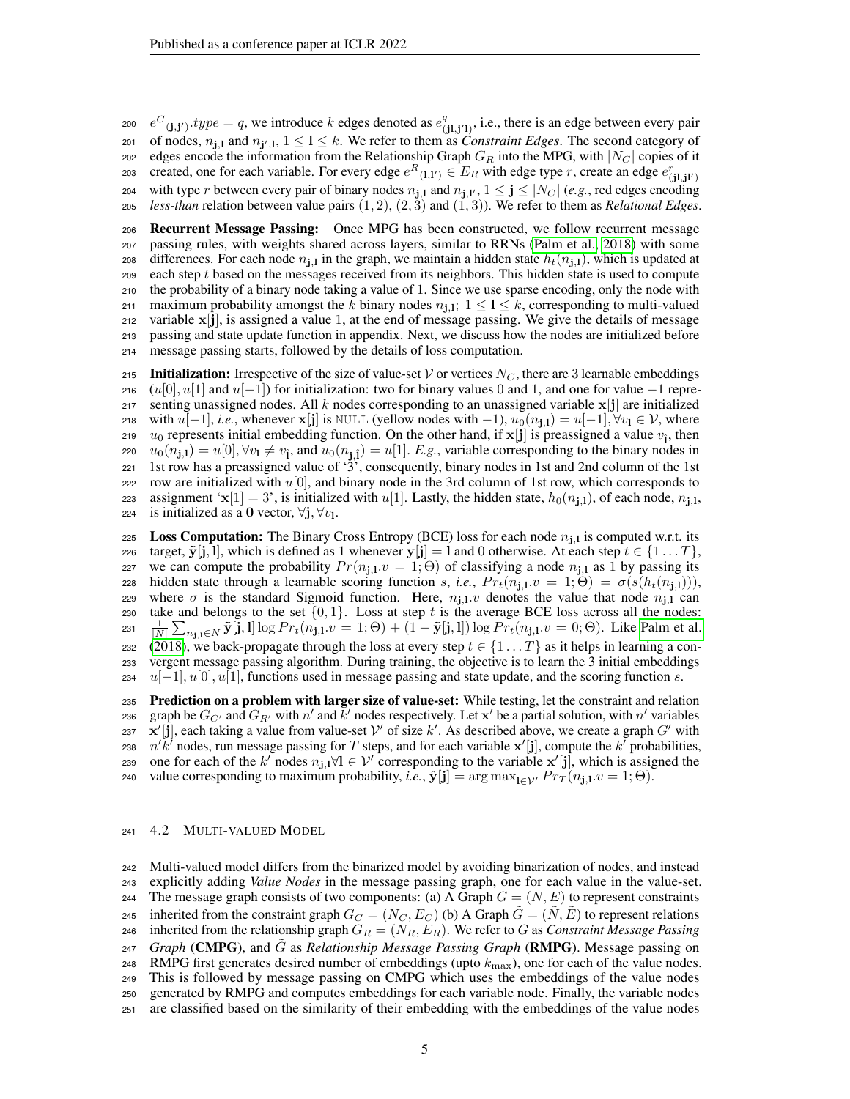$e^C_{(j,j')}$ .typ $e = q$ , we introduce k edges denoted as  $e^q$ 200  $e^C_{(j,j')}$ .  $type = q$ , we introduce k edges denoted as  $e^q_{(j1,j')},$  i.e., there is an edge between every pair 201 of nodes,  $n_{j,l}$  and  $n_{j',l}$ ,  $1 \le l \le k$ . We refer to them as *Constraint Edges*. The second category of 202 edges encode the information from the Relationship Graph  $G_R$  into the MPG, with  $|N_C|$  copies of it created, one for each variable. For every edge  $e^{R}(I,I') \in E_R$  with edge type r, create an edge  $e^{r}(I,J')$ 203 204 with type r between every pair of binary nodes  $n_{j,l}$  and  $n_{j,l'}$ ,  $1 \le j \le |N_C|$  (*e.g.*, red edges encoding 205 *less-than* relation between value pairs  $(1, 2), (2, 3)$  and  $(1, 3)$ ). We refer to them as *Relational Edges*.

 Recurrent Message Passing: Once MPG has been constructed, we follow recurrent message passing rules, with weights shared across layers, similar to RRNs [\(Palm et al., 2018\)](#page-11-1) with some 208 differences. For each node  $n_{1,1}$  in the graph, we maintain a hidden state  $h_t(n_{1,1})$ , which is updated at each step t based on the messages received from its neighbors. This hidden state is used to compute the probability of a binary node taking a value of 1. Since we use sparse encoding, only the node with 211 maximum probability amongst the k binary nodes  $n_{j,1}$ ;  $1 \leq l \leq k$ , corresponding to multi-valued variable  $x[j]$ , is assigned a value 1, at the end of message passing. We give the details of message passing and state update function in appendix. Next, we discuss how the nodes are initialized before message passing starts, followed by the details of loss computation.

215 Initialization: Irrespective of the size of value-set V or vertices  $N_C$ , there are 3 learnable embeddings 216 (u[0], u[1] and u[−1]) for initialization: two for binary values 0 and 1, and one for value  $-1$  repre-217 senting unassigned nodes. All k nodes corresponding to an unassigned variable  $x[j]$  are initialized 218 with  $u[-1]$ , *i.e.*, whenever  $\mathbf{x}[\mathbf{j}]$  is NULL (yellow nodes with  $-1$ ),  $u_0(n_{\mathbf{i},\mathbf{l}}) = u[-1]$ ,  $\forall v_1 \in \mathcal{V}$ , where 219  $u_0$  represents initial embedding function. On the other hand, if  $\mathbf{x}[j]$  is preassigned a value  $v_i$ , then 220  $u_0(n_{\mathbf{j},1}) = u[0], \forall v_1 \neq v_{\hat{1}}$ , and  $u_0(n_{\mathbf{j},\hat{1}}) = u[1]$ . *E.g.*, variable corresponding to the binary nodes in 221 1st row has a preassigned value of  $\langle 3 \rangle$ , consequently, binary nodes in 1st and 2nd column of the 1st 222 row are initialized with  $u[0]$ , and binary node in the 3rd column of 1st row, which corresponds to assignment 'x[1] = 3', is initialized with u[1]. Lastly, the hidden state,  $h_0(n_{1,1})$ , of each node,  $n_{1,1}$ , 224 is initialized as a 0 vector,  $\forall j, \forall v_1$ .

225 Loss Computation: The Binary Cross Entropy (BCE) loss for each node  $n_{1,1}$  is computed w.r.t. its 226 target,  $\tilde{\mathbf{y}}[j, l]$ , which is defined as 1 whenever  $\mathbf{y}[j] = l$  and 0 otherwise. At each step  $t \in \{1 \dots T\}$ , 227 we can compute the probability  $Pr(n_{1,1}.v = 1; \Theta)$  of classifying a node  $n_{1,1}$  as 1 by passing its 228 hidden state through a learnable scoring function s, *i.e.*,  $Pr_t(n_1, v = 1; Θ) = σ(s(h_t(n_1, 1))),$ example 229 where  $\sigma$  is the standard Sigmoid function. Here,  $n_{j,1}$  and  $v$  denotes the value that node  $n_{j,1}$  can 230 take and belongs to the set  $\{0, 1\}$ . Loss at step t is the average BCE loss across all the nodes: 231  $\frac{1}{|N|} \sum_{n_{\mathbf{j},\mathbf{l}} \in N} \tilde{\mathbf{y}}[\tilde{\mathbf{j}},\mathbf{l}] \log Pr_t(n_{\mathbf{j},\mathbf{l}}.v = 1;\Theta) + (1 - \tilde{\mathbf{y}}[\mathbf{j},\mathbf{l}]) \log Pr_t(n_{\mathbf{j},\mathbf{l}}.v = 0;\Theta)$ . Like [Palm et al.](#page-11-1) 232 [\(2018\)](#page-11-1), we back-propagate through the loss at every step  $t \in \{1...T\}$  as it helps in learning a con-<sup>233</sup> vergent message passing algorithm. During training, the objective is to learn the 3 initial embeddings  $2^{34}$  u[−1], u[0], u[1], functions used in message passing and state update, and the scoring function s.

235 Prediction on a problem with larger size of value-set: While testing, let the constraint and relation 236 graph be  $G_{C'}$  and  $G_{R'}$  with  $n'$  and  $\bar{k}'$  nodes respectively. Let  $x'$  be a partial solution, with  $n'$  variables 237 x'[j], each taking a value from value-set  $V'$  of size k'. As described above, we create a graph G' with 238  $n'\tilde{k}'$  nodes, run message passing for T steps, and for each variable  $\mathbf{x}'[j]$ , compute the  $k'$  probabilities, 239 one for each of the k' nodes  $n_{j,l} \forall l \in \mathcal{V}'$  corresponding to the variable  $x'[j]$ , which is assigned the <sup>240</sup> value corresponding to maximum probability, *i.e.*,  $\hat{\mathbf{y}}[\mathbf{j}] = \arg \max_{\mathbf{i} \in \mathcal{V}'} Pr_T(n_{\mathbf{j},\mathbf{i}}.v = 1; \Theta)$ .

#### <sup>241</sup> 4.2 MULTI-VALUED MODEL

<sup>242</sup> Multi-valued model differs from the binarized model by avoiding binarization of nodes, and instead <sup>243</sup> explicitly adding *Value Nodes* in the message passing graph, one for each value in the value-set. 244 The message graph consists of two components: (a) A Graph  $G = (N, E)$  to represent constraints 245 inherited from the constraint graph  $G_C = (N_C, E_C)$  (b) A Graph  $\tilde{G} = (\tilde{N}, \tilde{E})$  to represent relations 246 inherited from the relationship graph  $G_R = (N_R, E_R)$ . We refer to G as *Constraint Message Passing Graph* (CMPG), and G˜ <sup>247</sup> as *Relationship Message Passing Graph* (RMPG). Message passing on 248 RMPG first generates desired number of embeddings (upto  $k_{\text{max}}$ ), one for each of the value nodes. <sup>249</sup> This is followed by message passing on CMPG which uses the embeddings of the value nodes <sup>250</sup> generated by RMPG and computes embeddings for each variable node. Finally, the variable nodes <sup>251</sup> are classified based on the similarity of their embedding with the embeddings of the value nodes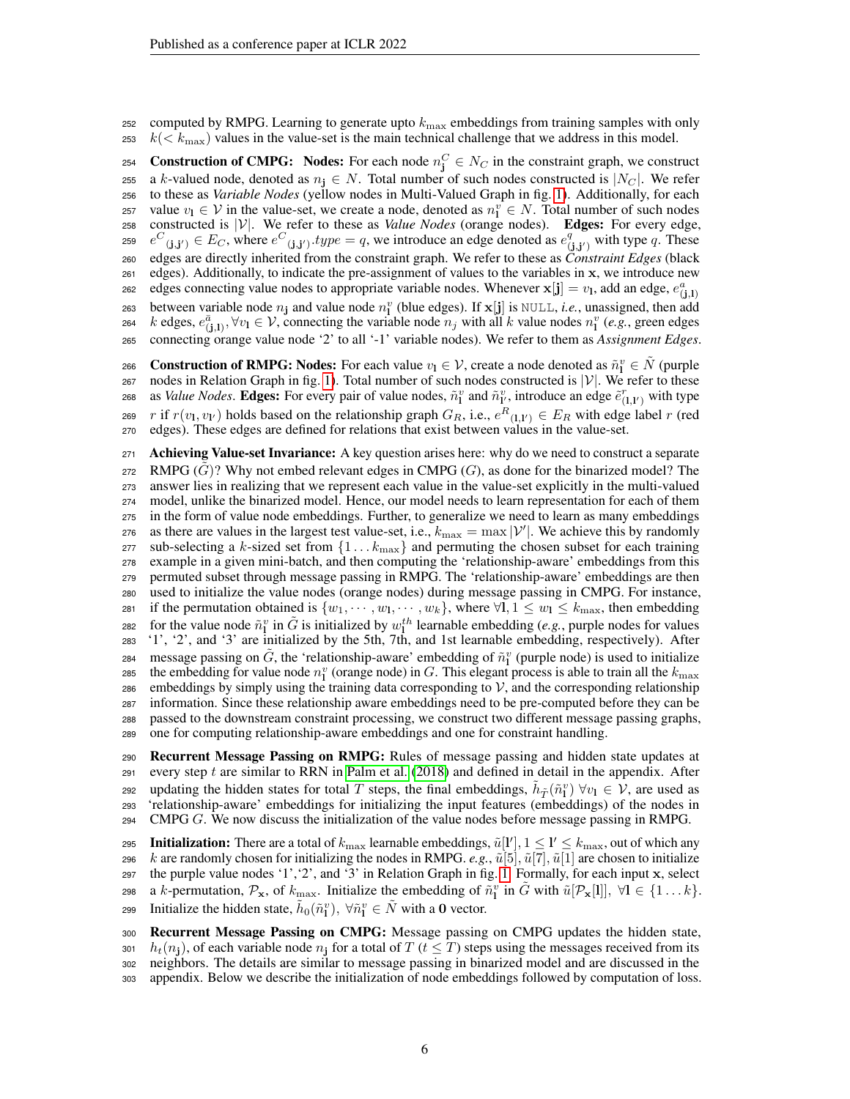252 computed by RMPG. Learning to generate upto  $k_{\text{max}}$  embeddings from training samples with only  $k \ll k_{\text{max}}$ ) values in the value-set is the main technical challenge that we address in this model.

254 Construction of CMPG: Nodes: For each node  $n_j^C \in N_C$  in the constraint graph, we construct 255 a k-valued node, denoted as  $n_i \in N$ . Total number of such nodes constructed is  $|N_C|$ . We refer <sup>256</sup> to these as *Variable Nodes* (yellow nodes in Multi-Valued Graph in fig. [1\)](#page-3-1). Additionally, for each 257 value  $v_1 \in V$  in the value-set, we create a node, denoted as  $n_1^v \in N$ . Total number of such nodes 258 constructed is  $|V|$ . We refer to these as *Value Nodes* (orange nodes). **Edges:** For every edge,  $e^C(i,j') \in E_C$ , where  $e^C(j,j')$  *type* = q, we introduce an edge denoted as  $e^q$ 259  $e^C(j, j') \in E_C$ , where  $e^C(j, j')$  *type* = q, we introduce an edge denoted as  $e^q_{(j, j')}$  with type q. These <sup>260</sup> edges are directly inherited from the constraint graph. We refer to these as *Constraint Edges* (black <sup>261</sup> edges). Additionally, to indicate the pre-assignment of values to the variables in x, we introduce new edges connecting value nodes to appropriate variable nodes. Whenever  $\mathbf{x}[\mathbf{j}] = v_{\mathbf{l}}$ , add an edge,  $e_{(\mathbf{j},\mathbf{l})}^a$ 262 263 between variable node  $n_j$  and value node  $n_l^v$  (blue edges). If  $\mathbf{x}[j]$  is NULL, *i.e.*, unassigned, then add 264 k edges,  $e_{(j,1)}^{\bar{a}}$ ,  $\forall v_1 \in V$ , connecting the variable node  $n_j$  with all k value nodes  $n_l^v$  (e.g., green edges <sup>265</sup> connecting orange value node '2' to all '-1' variable nodes). We refer to them as *Assignment Edges*.

266 Construction of RMPG: Nodes: For each value  $v_1 \in \mathcal{V}$ , create a node denoted as  $\tilde{n}_1^v \in \tilde{N}$  (purple 267 nodes in Relation Graph in fig. [1\)](#page-3-1). Total number of such nodes constructed is  $|V|$ . We refer to these 268 as *Value Nodes*. **Edges:** For every pair of value nodes,  $\tilde{n}_1^v$  and  $\tilde{n}_1^v$ , introduce an edge  $\tilde{e}_{(1,1')}^r$  with type 269 r if  $r(v_1, v_{1'})$  holds based on the relationship graph  $G_R$ , i.e.,  $e^R_{(1,1')} \in E_R$  with edge label r (red <sup>270</sup> edges). These edges are defined for relations that exist between values in the value-set.

271 Achieving Value-set Invariance: A key question arises here: why do we need to construct a separate  $272$  RMPG (G)? Why not embed relevant edges in CMPG (G), as done for the binarized model? The <sup>273</sup> answer lies in realizing that we represent each value in the value-set explicitly in the multi-valued <sup>274</sup> model, unlike the binarized model. Hence, our model needs to learn representation for each of them <sup>275</sup> in the form of value node embeddings. Further, to generalize we need to learn as many embeddings 276 as there are values in the largest test value-set, i.e.,  $k_{\text{max}} = \max |\mathcal{V}'|$ . We achieve this by randomly 277 sub-selecting a k-sized set from  $\{1 \dots k_{\text{max}}\}$  and permuting the chosen subset for each training <sup>278</sup> example in a given mini-batch, and then computing the 'relationship-aware' embeddings from this <sup>279</sup> permuted subset through message passing in RMPG. The 'relationship-aware' embeddings are then <sup>280</sup> used to initialize the value nodes (orange nodes) during message passing in CMPG. For instance, 281 if the permutation obtained is  $\{w_1, \dots, w_l, \dots, w_k\}$ , where  $\forall 1, 1 \leq w_1 \leq k_{\text{max}}$ , then embedding 282 for the value node  $\tilde{n}_1^v$  in  $\tilde{G}$  is initialized by  $w_1^{th}$  learnable embedding (*e.g.*, purple nodes for values <sup>283</sup> '1', '2', and '3' are initialized by the 5th, 7th, and 1st learnable embedding, respectively). After 284 message passing on  $\tilde{G}$ , the 'relationship-aware' embedding of  $\tilde{n}_1^v$  (purple node) is used to initialize 285 the embedding for value node  $n_1^v$  (orange node) in G. This elegant process is able to train all the  $k_{\text{max}}$ 286 embeddings by simply using the training data corresponding to  $\mathcal V$ , and the corresponding relationship <sup>287</sup> information. Since these relationship aware embeddings need to be pre-computed before they can be <sup>288</sup> passed to the downstream constraint processing, we construct two different message passing graphs, <sup>289</sup> one for computing relationship-aware embeddings and one for constraint handling.

<sup>290</sup> Recurrent Message Passing on RMPG: Rules of message passing and hidden state updates at 291 every step t are similar to RRN in [Palm et al.](#page-11-1) [\(2018\)](#page-11-1) and defined in detail in the appendix. After 292 updating the hidden states for total  $\tilde{T}$  steps, the final embeddings,  $\tilde{h}_{\tilde{T}}(\tilde{n}_1^v)$   $\forall v_1 \in \mathcal{V}$ , are used as <sup>293</sup> 'relationship-aware' embeddings for initializing the input features (embeddings) of the nodes in  $294$  CMPG G. We now discuss the initialization of the value nodes before message passing in RMPG.

295 Initialization: There are a total of  $k_{\max}$  learnable embeddings,  $\tilde{u}[l'], 1 \leq l' \leq k_{\max}$ , out of which any 296 k are randomly chosen for initializing the nodes in RMPG. *e.g.*,  $\tilde{u}[5], \tilde{u}[7], \tilde{u}[1]$  are chosen to initialize 297 the purple value nodes '1', '2', and '3' in Relation Graph in fig. [1.](#page-3-1) Formally, for each input  $x$ , select 298 a k-permutation,  $\mathcal{P}_x$ , of  $k_{\max}$ . Initialize the embedding of  $\tilde{n}_1^v$  in  $\tilde{G}$  with  $\tilde{u}[\mathcal{P}_x[1]]$ ,  $\forall 1 \in \{1 \dots k\}$ . 299 Initialize the hidden state,  $\tilde{h}_0(\tilde{n}_1^v), \forall \tilde{n}_1^v \in \tilde{N}$  with a 0 vector.

 Recurrent Message Passing on CMPG: Message passing on CMPG updates the hidden state,  $h_t(n_i)$ , of each variable node  $n_i$  for a total of  $T$  ( $t < T$ ) steps using the messages received from its neighbors. The details are similar to message passing in binarized model and are discussed in the appendix. Below we describe the initialization of node embeddings followed by computation of loss.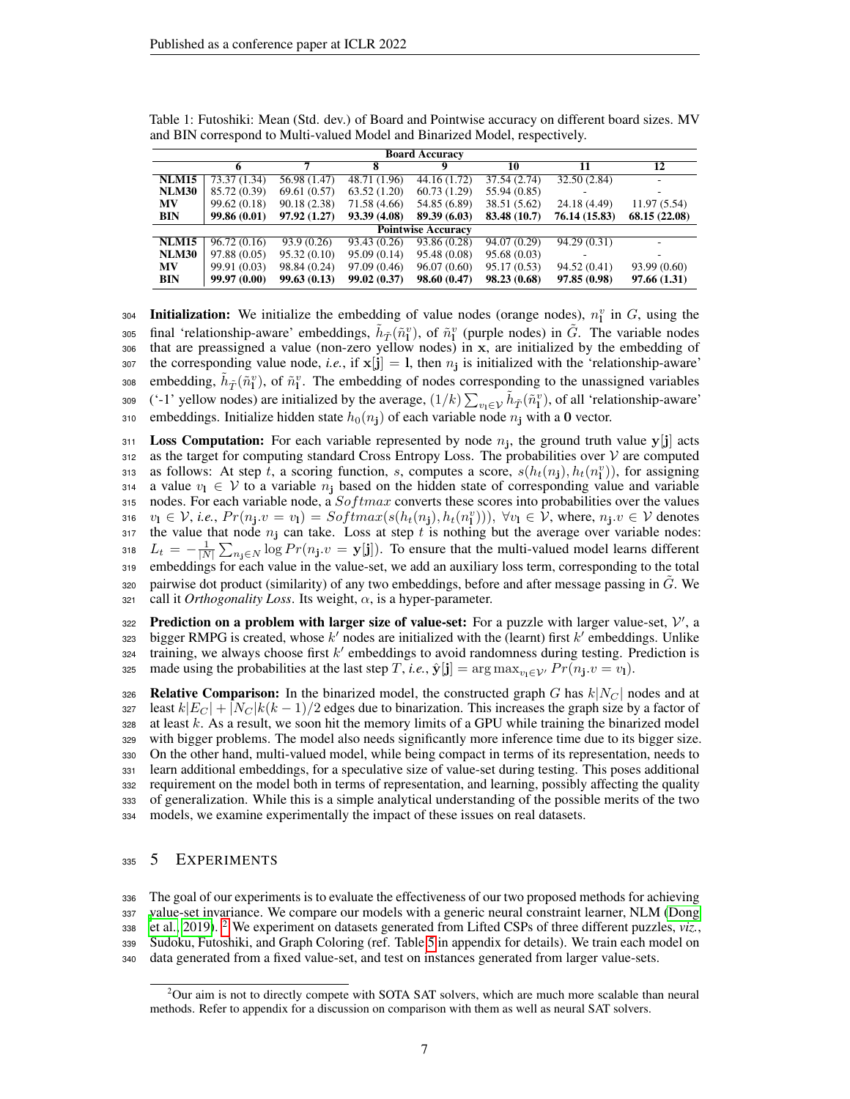| <b>Board Accuracy</b> |              |              |              |                           |              |               |               |  |
|-----------------------|--------------|--------------|--------------|---------------------------|--------------|---------------|---------------|--|
|                       |              | ⇁            | 8            | Q                         | 10           | 11            | 12            |  |
| <b>NLM15</b>          | 73.37 (1.34) | 56.98 (1.47) | 48.71 (1.96) | $\overline{44.16}$ (1.72) | 37.54(2.74)  | 32.50(2.84)   |               |  |
| <b>NLM30</b>          | 85.72 (0.39) | 69.61(0.57)  | 63.52(1.20)  | 60.73(1.29)               | 55.94 (0.85) |               |               |  |
| <b>MV</b>             | 99.62 (0.18) | 90.18(2.38)  | 71.58 (4.66) | 54.85 (6.89)              | 38.51 (5.62) | 24.18 (4.49)  | 11.97 (5.54)  |  |
| <b>BIN</b>            | 99.86 (0.01) | 97.92(1.27)  | 93.39 (4.08) | 89.39 (6.03)              | 83.48 (10.7) | 76.14 (15.83) | 68.15 (22.08) |  |
|                       |              |              |              | <b>Pointwise Accuracy</b> |              |               |               |  |
| <b>NLM15</b>          | 96.72 (0.16) | 93.9(0.26)   | 93.43 (0.26) | 93.86(0.28)               | 94.07 (0.29) | 94.29 (0.31)  | ٠             |  |
| <b>NLM30</b>          | 97.88 (0.05) | 95.32(0.10)  | 95.09 (0.14) | 95.48 (0.08)              | 95.68 (0.03) |               |               |  |
| <b>MV</b>             | 99.91 (0.03) | 98.84 (0.24) | 97.09 (0.46) | 96.07(0.60)               | 95.17 (0.53) | 94.52 (0.41)  | 93.99 (0.60)  |  |
| <b>BIN</b>            | 99.97 (0.00) | 99.63(0.13)  | 99.02(0.37)  | 98.60(0.47)               | 98.23 (0.68) | 97.85 (0.98)  | 97.66(1.31)   |  |

<span id="page-6-1"></span>Table 1: Futoshiki: Mean (Std. dev.) of Board and Pointwise accuracy on different board sizes. MV and BIN correspond to Multi-valued Model and Binarized Model, respectively.

304 Initialization: We initialize the embedding of value nodes (orange nodes),  $n_1^v$  in G, using the 305 final 'relationship-aware' embeddings,  $\tilde{h}_{\tilde{T}}(\tilde{n}_1^v)$ , of  $\tilde{n}_1^v$  (purple nodes) in  $\tilde{G}$ . The variable nodes <sup>306</sup> that are preassigned a value (non-zero yellow nodes) in x, are initialized by the embedding of  $\text{for}$  the corresponding value node, *i.e.*, if  $\mathbf{x}[j] = 1$ , then  $n_j$  is initialized with the 'relationship-aware' 308 embedding,  $\tilde{h}_{\tilde{T}}(\tilde{n}_1^v)$ , of  $\tilde{n}_1^v$ . The embedding of nodes corresponding to the unassigned variables 309 ('-1' yellow nodes) are initialized by the average,  $(1/k)\sum_{v_1\in\mathcal{V}}\tilde{h}_{\tilde{T}}(\tilde{n}_1^v)$ , of all 'relationship-aware' 310 embeddings. Initialize hidden state  $h_0(n_j)$  of each variable node  $n_j$  with a 0 vector.

311 Loss Computation: For each variable represented by node  $n_j$ , the ground truth value y[j] acts  $312$  as the target for computing standard Cross Entropy Loss. The probabilities over  $\mathcal V$  are computed 313 as follows: At step t, a scoring function, s, computes a score,  $s(h_t(n_j), h_t(n_l^v))$ , for assigning 314 a value  $v_1 \in V$  to a variable  $n_i$  based on the hidden state of corresponding value and variable 315 nodes. For each variable node, a  $Softmax$  converts these scores into probabilities over the values 316  $v_1 \in V$ , *i.e.*,  $Pr(n_j.v = v_1) = Softmax(s(h_t(n_j), h_t(n_l^v))), \forall v_1 \in V$ , where,  $n_j.v \in V$  denotes 317 the value that node  $n_j$  can take. Loss at step t is nothing but the average over variable nodes: 318  $L_t = -\frac{1}{|N|} \sum_{n_j \in N} \log Pr(n_j \cdot v = y[j])$ . To ensure that the multi-valued model learns different <sup>319</sup> embeddings for each value in the value-set, we add an auxiliary loss term, corresponding to the total 320 pairwise dot product (similarity) of any two embeddings, before and after message passing in  $\ddot{G}$ . We  $321$  call it *Orthogonality Loss*. Its weight,  $\alpha$ , is a hyper-parameter.

322 Prediction on a problem with larger size of value-set: For a puzzle with larger value-set,  $V'$ , a 323 bigger RMPG is created, whose  $k'$  nodes are initialized with the (learnt) first  $k'$  embeddings. Unlike  $324$  training, we always choose first  $k'$  embeddings to avoid randomness during testing. Prediction is 325 made using the probabilities at the last step T, *i.e.*,  $\hat{\mathbf{y}}[\mathbf{j}] = \arg \max_{v_1 \in \mathcal{V}'} Pr(n_{\mathbf{j}}.v = v_1)$ .

326 Relative Comparison: In the binarized model, the constructed graph G has  $k|N_C|$  nodes and at 327 least  $k|E_C| + |N_C|k(k-1)/2$  edges due to binarization. This increases the graph size by a factor of at least k. As a result, we soon hit the memory limits of a GPU while training the binarized model with bigger problems. The model also needs significantly more inference time due to its bigger size. On the other hand, multi-valued model, while being compact in terms of its representation, needs to learn additional embeddings, for a speculative size of value-set during testing. This poses additional requirement on the model both in terms of representation, and learning, possibly affecting the quality of generalization. While this is a simple analytical understanding of the possible merits of the two models, we examine experimentally the impact of these issues on real datasets.

# 335 5 EXPERIMENTS

 The goal of our experiments is to evaluate the effectiveness of our two proposed methods for achieving [v](#page-10-2)alue-set invariance. We compare our models with a generic neural constraint learner, NLM [\(Dong](#page-10-2) [et al., 2019\)](#page-10-2). <sup>[2](#page-6-0)</sup> We experiment on datasets generated from Lifted CSPs of three different puzzles, *viz.*, Sudoku, Futoshiki, and Graph Coloring (ref. Table [5](#page-15-0) in appendix for details). We train each model on data generated from a fixed value-set, and test on instances generated from larger value-sets.

<span id="page-6-0"></span><sup>&</sup>lt;sup>2</sup>Our aim is not to directly compete with SOTA SAT solvers, which are much more scalable than neural methods. Refer to appendix for a discussion on comparison with them as well as neural SAT solvers.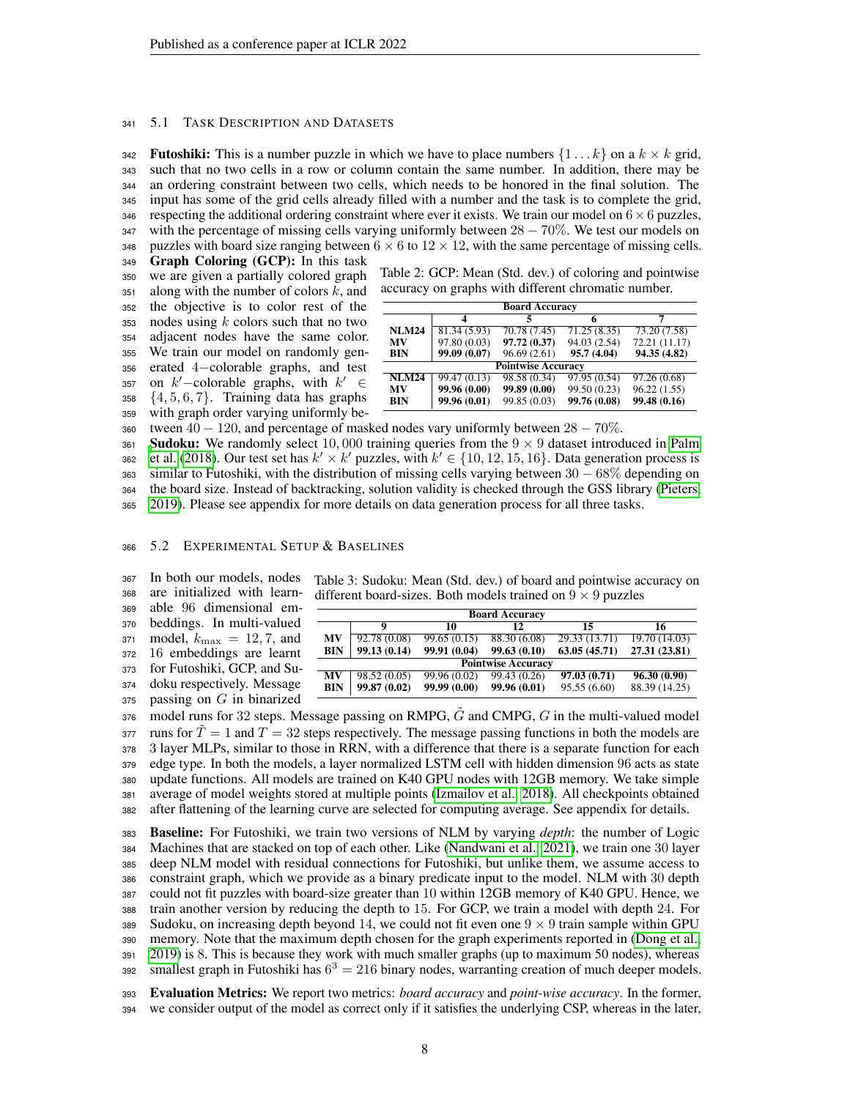#### <span id="page-7-2"></span>341 5.1 TASK DESCRIPTION AND DATASETS

**Futoshiki:** This is a number puzzle in which we have to place numbers  $\{1 \dots k\}$  on a  $k \times k$  grid, such that no two cells in a row or column contain the same number. In addition, there may be an ordering constraint between two cells, which needs to be honored in the final solution. The input has some of the grid cells already filled with a number and the task is to complete the grid, 346 respecting the additional ordering constraint where ever it exists. We train our model on  $6 \times 6$  puzzles, with the percentage of missing cells varying uniformly between  $28 - 70\%$ . We test our models on 348 puzzles with board size ranging between  $6 \times 6$  to  $12 \times 12$ , with the same percentage of missing cells.

<sup>349</sup> Graph Coloring (GCP): In this task

 we are given a partially colored graph 351 along with the number of colors  $k$ , and the objective is to color rest of the nodes using k colors such that no two adjacent nodes have the same color. We train our model on randomly gen- erated 4−colorable graphs, and test 357 on  $k'$  –colorable graphs, with  $k' \in$  $358 \{4, 5, 6, 7\}$ . Training data has graphs with graph order varying uniformly be-

<span id="page-7-0"></span>

| Table 2: GCP: Mean (Std. dev.) of coloring and pointwise |  |
|----------------------------------------------------------|--|
| accuracy on graphs with different chromatic number.      |  |

| <b>Board Accuracy</b> |              |                           |              |               |  |  |
|-----------------------|--------------|---------------------------|--------------|---------------|--|--|
|                       | 4            |                           |              |               |  |  |
| <b>NLM24</b>          | 81.34(5.93)  | 70.78 (7.45)              | 71.25(8.35)  | 73.20(7.58)   |  |  |
| MV                    | 97.80 (0.03) | 97.72 (0.37)              | 94.03 (2.54) | 72.21 (11.17) |  |  |
| BIN                   | 99.09 (0.07) | 96.69(2.61)               | 95.7 (4.04)  | 94.35 (4.82)  |  |  |
|                       |              | <b>Pointwise Accuracy</b> |              |               |  |  |
| <b>NLM24</b>          | 99.47 (0.13) | 98.58 (0.34)              | 97.95 (0.54) | 97.26 (0.68)  |  |  |
| MV                    | 99.96 (0.00) | 99.89 (0.00)              | 99.50 (0.23) | 96.22(1.55)   |  |  |
| <b>BIN</b>            | 99.96 (0.01) | 99.85 (0.03)              | 99.76 (0.08) | 99.48 (0.16)  |  |  |

360 tween  $40 - 120$ , and percentage of masked nodes vary uniformly between  $28 - 70\%$ .

**[S](#page-11-1)udoku:** We randomly select 10,000 training queries from the  $9 \times 9$  dataset introduced in [Palm](#page-11-1) [et al.](#page-11-1) [\(2018\)](#page-11-1). Our test set has  $k' \times k'$  puzzles, with  $k' \in \{10, 12, 15, 16\}$ . Data generation process is similar to Futoshiki, with the distribution of missing cells varying between  $30 - 68\%$  depending on the board size. Instead of backtracking, solution validity is checked through the GSS library [\(Pieters,](#page-11-10) [2019\)](#page-11-10). Please see appendix for more details on data generation process for all three tasks.

### <span id="page-7-3"></span><sup>366</sup> 5.2 EXPERIMENTAL SETUP & BASELINES

 In both our models, nodes are initialized with learn- able 96 dimensional em- beddings. In multi-valued 371 model,  $k_{\text{max}} = 12, 7$ , and 16 embeddings are learnt for Futoshiki, GCP, and Su- doku respectively. Message passing on G in binarized

<span id="page-7-1"></span>Table 3: Sudoku: Mean (Std. dev.) of board and pointwise accuracy on different board-sizes. Both models trained on  $9 \times 9$  puzzles

| <b>Board Accuracy</b>     |              |              |              |              |               |  |  |  |
|---------------------------|--------------|--------------|--------------|--------------|---------------|--|--|--|
|                           | o            | 10           | 12           | 15           | 16            |  |  |  |
| MV                        | 92.78(0.08)  | 99.65(0.15)  | 88.30 (6.08) | 29.33(13.71) | 19.70(14.03)  |  |  |  |
| <b>BIN</b>                | 99.13 (0.14) | 99.91 (0.04) | 99.63(0.10)  | 63.05(45.71) | 27.31 (23.81) |  |  |  |
| <b>Pointwise Accuracy</b> |              |              |              |              |               |  |  |  |
| MV                        | 98.52 (0.05) | 99.96 (0.02) | 99.43 (0.26) | 97.03(0.71)  | 96.30(0.90)   |  |  |  |
| <b>BIN</b>                | 99.87 (0.02) | 99.99 (0.00) | 99.96 (0.01) | 95.55(6.60)  | 88.39 (14.25) |  |  |  |

 $376 \mod 32$  steps. Message passing on RMPG,  $\tilde{G}$  and CMPG,  $G$  in the multi-valued model 377 runs for  $T = 1$  and  $T = 32$  steps respectively. The message passing functions in both the models are 3 layer MLPs, similar to those in RRN, with a difference that there is a separate function for each edge type. In both the models, a layer normalized LSTM cell with hidden dimension 96 acts as state update functions. All models are trained on K40 GPU nodes with 12GB memory. We take simple average of model weights stored at multiple points [\(Izmailov et al., 2018\)](#page-10-10). All checkpoints obtained after flattening of the learning curve are selected for computing average. See appendix for details.

 Baseline: For Futoshiki, we train two versions of NLM by varying *depth*: the number of Logic Machines that are stacked on top of each other. Like [\(Nandwani et al., 2021\)](#page-11-7), we train one 30 layer deep NLM model with residual connections for Futoshiki, but unlike them, we assume access to constraint graph, which we provide as a binary predicate input to the model. NLM with 30 depth could not fit puzzles with board-size greater than 10 within 12GB memory of K40 GPU. Hence, we train another version by reducing the depth to 15. For GCP, we train a model with depth 24. For 389 Sudoku, on increasing depth beyond 14, we could not fit even one  $9 \times 9$  train sample within GPU memory. Note that the maximum depth chosen for the graph experiments reported in [\(Dong et al.,](#page-10-2) [2019\)](#page-10-2) is 8. This is because they work with much smaller graphs (up to maximum 50 nodes), whereas smallest graph in Futoshiki has  $6<sup>3</sup> = 216$  binary nodes, warranting creation of much deeper models.

<sup>393</sup> Evaluation Metrics: We report two metrics: *board accuracy* and *point-wise accuracy*. In the former, <sup>394</sup> we consider output of the model as correct only if it satisfies the underlying CSP, whereas in the later,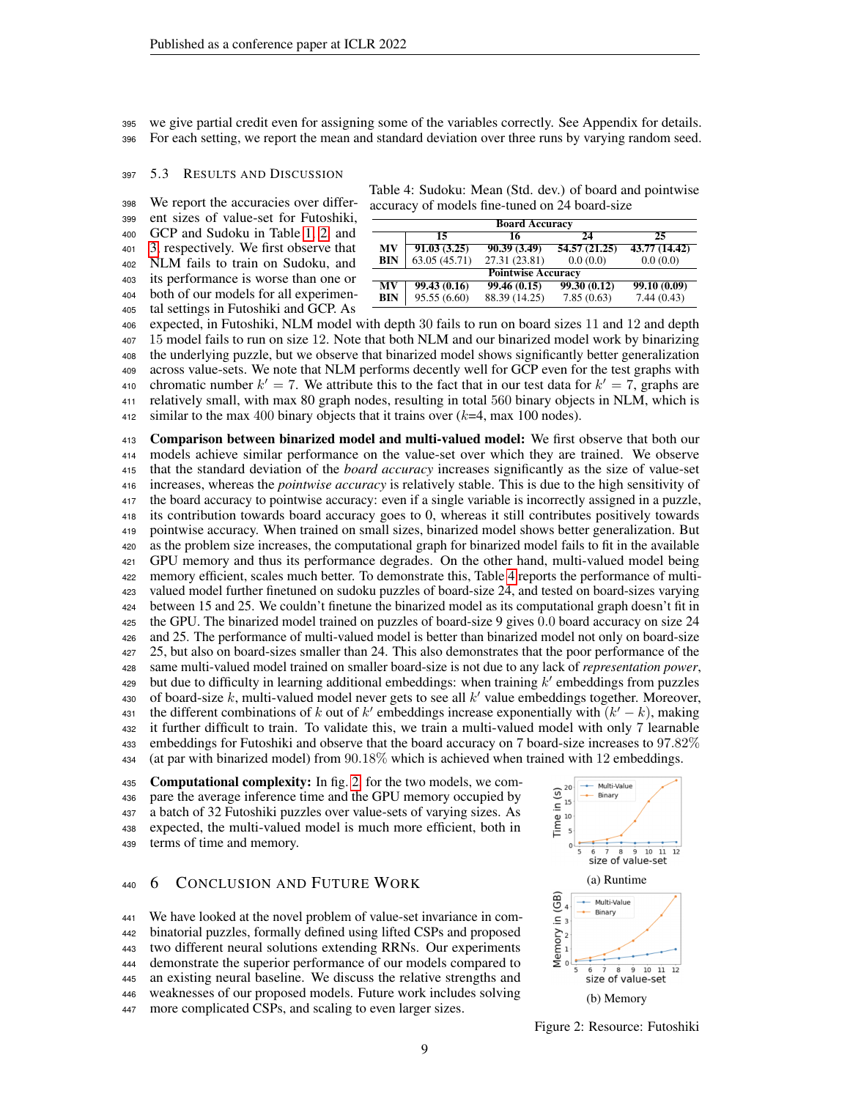we give partial credit even for assigning some of the variables correctly. See Appendix for details. For each setting, we report the mean and standard deviation over three runs by varying random seed.

### 397 5.3 RESULTS AND DISCUSSION

 We report the accuracies over differ- ent sizes of value-set for Futoshiki, GCP and Sudoku in Table [1,](#page-6-1) [2,](#page-7-0) and [3,](#page-7-1) respectively. We first observe that NLM fails to train on Sudoku, and

 its performance is worse than one or both of our models for all experimen-tal settings in Futoshiki and GCP. As

Table 4: Sudoku: Mean (Std. dev.) of board and pointwise accuracy of models fine-tuned on 24 board-size

<span id="page-8-0"></span>

|            | <b>Board Accuracy</b>     |               |              |               |  |  |  |
|------------|---------------------------|---------------|--------------|---------------|--|--|--|
|            | 15                        | 16            | 24           | 25            |  |  |  |
| MV         | 91.03(3.25)               | 90.39(3.49)   | 54.57(21.25) | 43.77 (14.42) |  |  |  |
| <b>BIN</b> | 63.05 (45.71)             | 27.31 (23.81) | 0.0(0.0)     | 0.0(0.0)      |  |  |  |
|            | <b>Pointwise Accuracy</b> |               |              |               |  |  |  |
| MV         | 99.43(0.16)               | 99.46(0.15)   | 99.30(0.12)  | 99.10(0.09)   |  |  |  |
| <b>BIN</b> | 95.55(6.60)               | 88.39 (14.25) | 7.85(0.63)   | 7.44(0.43)    |  |  |  |

 expected, in Futoshiki, NLM model with depth 30 fails to run on board sizes 11 and 12 and depth 15 model fails to run on size 12. Note that both NLM and our binarized model work by binarizing the underlying puzzle, but we observe that binarized model shows significantly better generalization across value-sets. We note that NLM performs decently well for GCP even for the test graphs with 410 chromatic number  $k' = 7$ . We attribute this to the fact that in our test data for  $k' = 7$ , graphs are relatively small, with max 80 graph nodes, resulting in total 560 binary objects in NLM, which is 412 similar to the max 400 binary objects that it trains over  $(k=4, \text{max } 100 \text{ nodes})$ .

 Comparison between binarized model and multi-valued model: We first observe that both our models achieve similar performance on the value-set over which they are trained. We observe that the standard deviation of the *board accuracy* increases significantly as the size of value-set increases, whereas the *pointwise accuracy* is relatively stable. This is due to the high sensitivity of the board accuracy to pointwise accuracy: even if a single variable is incorrectly assigned in a puzzle, its contribution towards board accuracy goes to 0, whereas it still contributes positively towards pointwise accuracy. When trained on small sizes, binarized model shows better generalization. But as the problem size increases, the computational graph for binarized model fails to fit in the available GPU memory and thus its performance degrades. On the other hand, multi-valued model being memory efficient, scales much better. To demonstrate this, Table [4](#page-8-0) reports the performance of multi- valued model further finetuned on sudoku puzzles of board-size 24, and tested on board-sizes varying between 15 and 25. We couldn't finetune the binarized model as its computational graph doesn't fit in the GPU. The binarized model trained on puzzles of board-size 9 gives 0.0 board accuracy on size 24 and 25. The performance of multi-valued model is better than binarized model not only on board-size 25, but also on board-sizes smaller than 24. This also demonstrates that the poor performance of the same multi-valued model trained on smaller board-size is not due to any lack of *representation power*, 429 but due to difficulty in learning additional embeddings: when training  $k'$  embeddings from puzzles 430 of board-size  $k$ , multi-valued model never gets to see all  $k'$  value embeddings together. Moreover, 431 the different combinations of k out of k' embeddings increase exponentially with  $(k' - k)$ , making it further difficult to train. To validate this, we train a multi-valued model with only 7 learnable embeddings for Futoshiki and observe that the board accuracy on 7 board-size increases to 97.82% (at par with binarized model) from 90.18% which is achieved when trained with 12 embeddings.

435 Computational complexity: In fig. [2,](#page-8-1) for the two models, we com- pare the average inference time and the GPU memory occupied by a batch of 32 Futoshiki puzzles over value-sets of varying sizes. As expected, the multi-valued model is much more efficient, both in terms of time and memory.

### 6 CONCLUSION AND FUTURE WORK

 We have looked at the novel problem of value-set invariance in com- binatorial puzzles, formally defined using lifted CSPs and proposed two different neural solutions extending RRNs. Our experiments demonstrate the superior performance of our models compared to an existing neural baseline. We discuss the relative strengths and weaknesses of our proposed models. Future work includes solving more complicated CSPs, and scaling to even larger sizes.

<span id="page-8-1"></span>

Figure 2: Resource: Futoshiki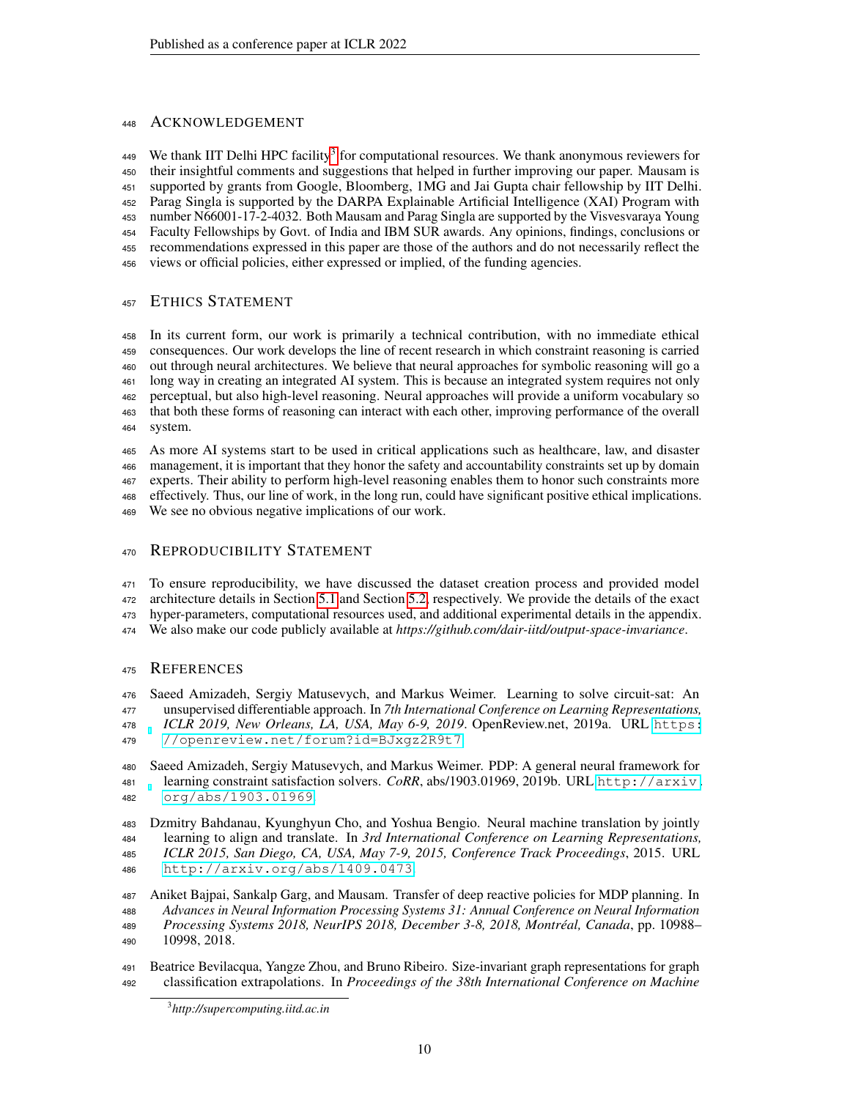# ACKNOWLEDGEMENT

449 We thank IIT Delhi HPC facility<sup>[3](#page-9-3)</sup> for computational resources. We thank anonymous reviewers for their insightful comments and suggestions that helped in further improving our paper. Mausam is supported by grants from Google, Bloomberg, 1MG and Jai Gupta chair fellowship by IIT Delhi. Parag Singla is supported by the DARPA Explainable Artificial Intelligence (XAI) Program with number N66001-17-2-4032. Both Mausam and Parag Singla are supported by the Visvesvaraya Young Faculty Fellowships by Govt. of India and IBM SUR awards. Any opinions, findings, conclusions or recommendations expressed in this paper are those of the authors and do not necessarily reflect the views or official policies, either expressed or implied, of the funding agencies.

# ETHICS STATEMENT

 In its current form, our work is primarily a technical contribution, with no immediate ethical consequences. Our work develops the line of recent research in which constraint reasoning is carried out through neural architectures. We believe that neural approaches for symbolic reasoning will go a long way in creating an integrated AI system. This is because an integrated system requires not only perceptual, but also high-level reasoning. Neural approaches will provide a uniform vocabulary so that both these forms of reasoning can interact with each other, improving performance of the overall system.

 As more AI systems start to be used in critical applications such as healthcare, law, and disaster management, it is important that they honor the safety and accountability constraints set up by domain experts. Their ability to perform high-level reasoning enables them to honor such constraints more effectively. Thus, our line of work, in the long run, could have significant positive ethical implications. We see no obvious negative implications of our work.

# 470 REPRODUCIBILITY STATEMENT

 To ensure reproducibility, we have discussed the dataset creation process and provided model architecture details in Section [5.1](#page-7-2) and Section [5.2,](#page-7-3) respectively. We provide the details of the exact hyper-parameters, computational resources used, and additional experimental details in the appendix. We also make our code publicly available at *https://github.com/dair-iitd/output-space-invariance*.

# REFERENCES

<span id="page-9-0"></span> Saeed Amizadeh, Sergiy Matusevych, and Markus Weimer. Learning to solve circuit-sat: An unsupervised differentiable approach. In *7th International Conference on Learning Representations, ICLR 2019, New Orleans, LA, USA, May 6-9, 2019*. OpenReview.net, 2019a. URL [https:](https://openreview.net/forum?id=BJxgz2R9t7) [//openreview.net/forum?id=BJxgz2R9t7](https://openreview.net/forum?id=BJxgz2R9t7).

<span id="page-9-1"></span> Saeed Amizadeh, Sergiy Matusevych, and Markus Weimer. PDP: A general neural framework for learning constraint satisfaction solvers. *CoRR*, abs/1903.01969, 2019b. URL [http://arxiv.](http://arxiv.org/abs/1903.01969) [org/abs/1903.01969](http://arxiv.org/abs/1903.01969).

<span id="page-9-5"></span> Dzmitry Bahdanau, Kyunghyun Cho, and Yoshua Bengio. Neural machine translation by jointly learning to align and translate. In *3rd International Conference on Learning Representations, ICLR 2015, San Diego, CA, USA, May 7-9, 2015, Conference Track Proceedings*, 2015. URL <http://arxiv.org/abs/1409.0473>.

<span id="page-9-2"></span> Aniket Bajpai, Sankalp Garg, and Mausam. Transfer of deep reactive policies for MDP planning. In *Advances in Neural Information Processing Systems 31: Annual Conference on Neural Information Processing Systems 2018, NeurIPS 2018, December 3-8, 2018, Montréal, Canada*, pp. 10988– 10998, 2018.

<span id="page-9-4"></span> Beatrice Bevilacqua, Yangze Zhou, and Bruno Ribeiro. Size-invariant graph representations for graph classification extrapolations. In *Proceedings of the 38th International Conference on Machine*

<span id="page-9-3"></span>*http://supercomputing.iitd.ac.in*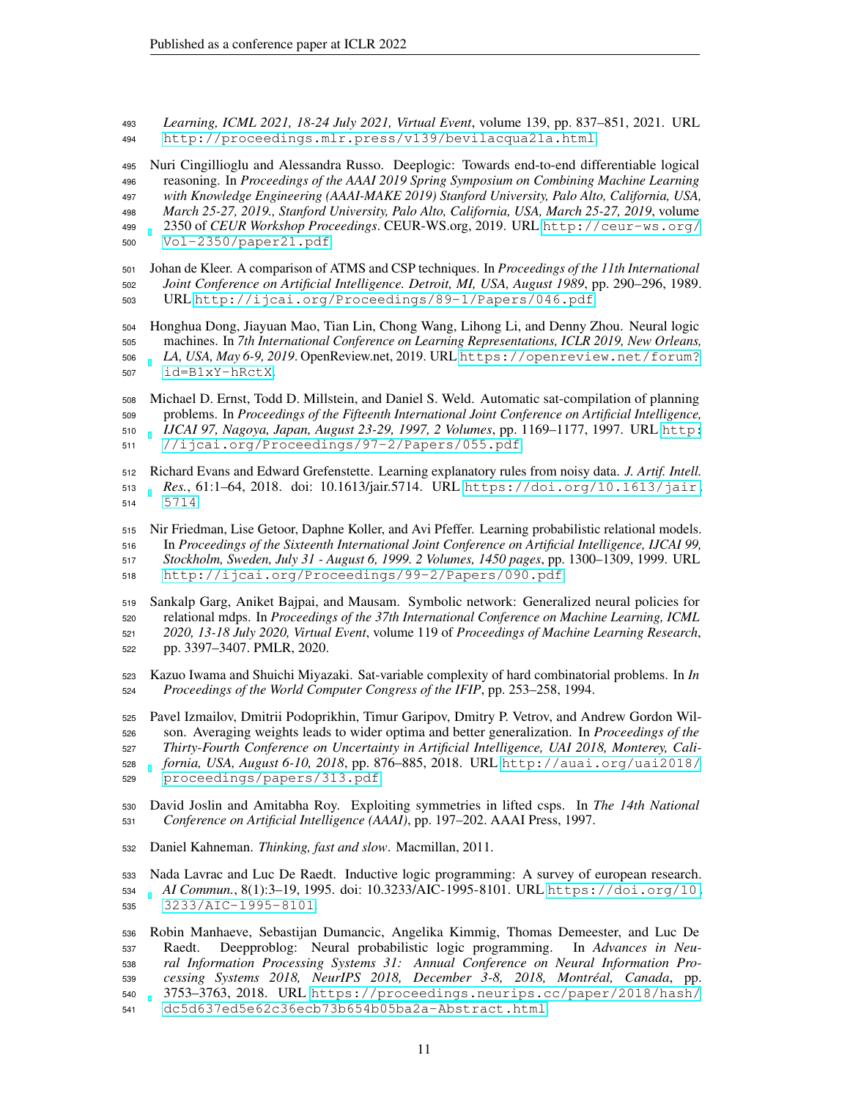*Learning, ICML 2021, 18-24 July 2021, Virtual Event*, volume 139, pp. 837–851, 2021. URL <http://proceedings.mlr.press/v139/bevilacqua21a.html>.

<span id="page-10-4"></span> Nuri Cingillioglu and Alessandra Russo. Deeplogic: Towards end-to-end differentiable logical reasoning. In *Proceedings of the AAAI 2019 Spring Symposium on Combining Machine Learning with Knowledge Engineering (AAAI-MAKE 2019) Stanford University, Palo Alto, California, USA, March 25-27, 2019., Stanford University, Palo Alto, California, USA, March 25-27, 2019*, volume 2350 of *CEUR Workshop Proceedings*. CEUR-WS.org, 2019. URL [http://ceur-ws.org/](http://ceur-ws.org/Vol-2350/paper21.pdf) [Vol-2350/paper21.pdf](http://ceur-ws.org/Vol-2350/paper21.pdf).

<span id="page-10-9"></span> Johan de Kleer. A comparison of ATMS and CSP techniques. In *Proceedings of the 11th International Joint Conference on Artificial Intelligence. Detroit, MI, USA, August 1989*, pp. 290–296, 1989. URL <http://ijcai.org/Proceedings/89-1/Papers/046.pdf>.

<span id="page-10-2"></span> Honghua Dong, Jiayuan Mao, Tian Lin, Chong Wang, Lihong Li, and Denny Zhou. Neural logic machines. In *7th International Conference on Learning Representations, ICLR 2019, New Orleans, LA, USA, May 6-9, 2019*. OpenReview.net, 2019. URL [https://openreview.net/forum?](https://openreview.net/forum?id=B1xY-hRctX) [id=B1xY-hRctX](https://openreview.net/forum?id=B1xY-hRctX).

<span id="page-10-11"></span> Michael D. Ernst, Todd D. Millstein, and Daniel S. Weld. Automatic sat-compilation of planning problems. In *Proceedings of the Fifteenth International Joint Conference on Artificial Intelligence, IJCAI 97, Nagoya, Japan, August 23-29, 1997, 2 Volumes*, pp. 1169–1177, 1997. URL [http:](http://ijcai.org/Proceedings/97-2/Papers/055.pdf) [//ijcai.org/Proceedings/97-2/Papers/055.pdf](http://ijcai.org/Proceedings/97-2/Papers/055.pdf).

<span id="page-10-1"></span> Richard Evans and Edward Grefenstette. Learning explanatory rules from noisy data. *J. Artif. Intell. Res.*, 61:1–64, 2018. doi: 10.1613/jair.5714. URL [https://doi.org/10.1613/jair.](https://doi.org/10.1613/jair.5714) [5714](https://doi.org/10.1613/jair.5714).

<span id="page-10-8"></span> Nir Friedman, Lise Getoor, Daphne Koller, and Avi Pfeffer. Learning probabilistic relational models. In *Proceedings of the Sixteenth International Joint Conference on Artificial Intelligence, IJCAI 99, Stockholm, Sweden, July 31 - August 6, 1999. 2 Volumes, 1450 pages*, pp. 1300–1309, 1999. URL <http://ijcai.org/Proceedings/99-2/Papers/090.pdf>.

<span id="page-10-6"></span> Sankalp Garg, Aniket Bajpai, and Mausam. Symbolic network: Generalized neural policies for relational mdps. In *Proceedings of the 37th International Conference on Machine Learning, ICML 2020, 13-18 July 2020, Virtual Event*, volume 119 of *Proceedings of Machine Learning Research*, pp. 3397–3407. PMLR, 2020.

- <span id="page-10-12"></span> Kazuo Iwama and Shuichi Miyazaki. Sat-variable complexity of hard combinatorial problems. In *In Proceedings of the World Computer Congress of the IFIP*, pp. 253–258, 1994.
- <span id="page-10-10"></span> Pavel Izmailov, Dmitrii Podoprikhin, Timur Garipov, Dmitry P. Vetrov, and Andrew Gordon Wil- son. Averaging weights leads to wider optima and better generalization. In *Proceedings of the Thirty-Fourth Conference on Uncertainty in Artificial Intelligence, UAI 2018, Monterey, Cali- fornia, USA, August 6-10, 2018*, pp. 876–885, 2018. URL [http://auai.org/uai2018/](http://auai.org/uai2018/proceedings/papers/313.pdf) [proceedings/papers/313.pdf](http://auai.org/uai2018/proceedings/papers/313.pdf).
- <span id="page-10-3"></span> David Joslin and Amitabha Roy. Exploiting symmetries in lifted csps. In *The 14th National Conference on Artificial Intelligence (AAAI)*, pp. 197–202. AAAI Press, 1997.
- <span id="page-10-0"></span>Daniel Kahneman. *Thinking, fast and slow*. Macmillan, 2011.
- <span id="page-10-7"></span> Nada Lavrac and Luc De Raedt. Inductive logic programming: A survey of european research. *AI Commun.*, 8(1):3–19, 1995. doi: 10.3233/AIC-1995-8101. URL [https://doi.org/10.](https://doi.org/10.3233/AIC-1995-8101) [3233/AIC-1995-8101](https://doi.org/10.3233/AIC-1995-8101).
- <span id="page-10-5"></span> Robin Manhaeve, Sebastijan Dumancic, Angelika Kimmig, Thomas Demeester, and Luc De Raedt. Deepproblog: Neural probabilistic logic programming. In *Advances in Neu- ral Information Processing Systems 31: Annual Conference on Neural Information Pro- cessing Systems 2018, NeurIPS 2018, December 3-8, 2018, Montréal, Canada*, pp. 3753–3763, 2018. URL [https://proceedings.neurips.cc/paper/2018/hash/](https://proceedings.neurips.cc/paper/2018/hash/dc5d637ed5e62c36ecb73b654b05ba2a-Abstract.html) [dc5d637ed5e62c36ecb73b654b05ba2a-Abstract.html](https://proceedings.neurips.cc/paper/2018/hash/dc5d637ed5e62c36ecb73b654b05ba2a-Abstract.html).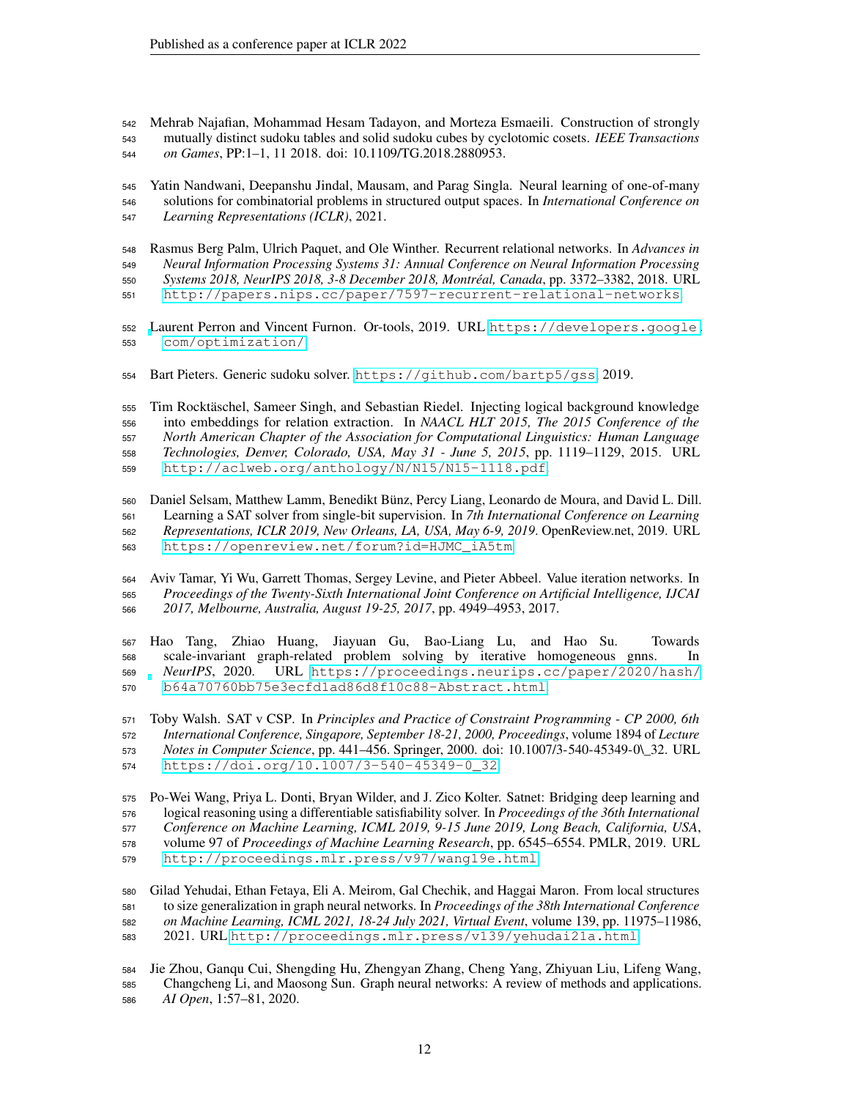<span id="page-11-5"></span> Mehrab Najafian, Mohammad Hesam Tadayon, and Morteza Esmaeili. Construction of strongly mutually distinct sudoku tables and solid sudoku cubes by cyclotomic cosets. *IEEE Transactions on Games*, PP:1–1, 11 2018. doi: 10.1109/TG.2018.2880953.

<span id="page-11-7"></span> Yatin Nandwani, Deepanshu Jindal, Mausam, and Parag Singla. Neural learning of one-of-many solutions for combinatorial problems in structured output spaces. In *International Conference on Learning Representations (ICLR)*, 2021.

- <span id="page-11-1"></span> Rasmus Berg Palm, Ulrich Paquet, and Ole Winther. Recurrent relational networks. In *Advances in Neural Information Processing Systems 31: Annual Conference on Neural Information Processing*
- *Systems 2018, NeurIPS 2018, 3-8 December 2018, Montréal, Canada*, pp. 3372–3382, 2018. URL
- <http://papers.nips.cc/paper/7597-recurrent-relational-networks>.
- <span id="page-11-12"></span> [L](https://developers.google.com/optimization/)aurent Perron and Vincent Furnon. Or-tools, 2019. URL [https://developers.google.](https://developers.google.com/optimization/) [com/optimization/](https://developers.google.com/optimization/).
- <span id="page-11-10"></span>Bart Pieters. Generic sudoku solver. <https://github.com/bartp5/gss>, 2019.

<span id="page-11-3"></span> Tim Rocktäschel, Sameer Singh, and Sebastian Riedel. Injecting logical background knowledge into embeddings for relation extraction. In *NAACL HLT 2015, The 2015 Conference of the North American Chapter of the Association for Computational Linguistics: Human Language Technologies, Denver, Colorado, USA, May 31 - June 5, 2015*, pp. 1119–1129, 2015. URL <http://aclweb.org/anthology/N/N15/N15-1118.pdf>.

<span id="page-11-2"></span> Daniel Selsam, Matthew Lamm, Benedikt Bünz, Percy Liang, Leonardo de Moura, and David L. Dill. Learning a SAT solver from single-bit supervision. In *7th International Conference on Learning Representations, ICLR 2019, New Orleans, LA, USA, May 6-9, 2019*. OpenReview.net, 2019. URL [https://openreview.net/forum?id=HJMC\\_iA5tm](https://openreview.net/forum?id=HJMC_iA5tm).

<span id="page-11-6"></span> Aviv Tamar, Yi Wu, Garrett Thomas, Sergey Levine, and Pieter Abbeel. Value iteration networks. In *Proceedings of the Twenty-Sixth International Joint Conference on Artificial Intelligence, IJCAI 2017, Melbourne, Australia, August 19-25, 2017*, pp. 4949–4953, 2017.

<span id="page-11-11"></span> Hao Tang, Zhiao Huang, Jiayuan Gu, Bao-Liang Lu, and Hao Su. Towards scale-invariant graph-related problem solving by iterative homogeneous gnns. In *NeurIPS*, 2020. URL [https://proceedings.neurips.cc/paper/2020/hash/](https://proceedings.neurips.cc/paper/2020/hash/b64a70760bb75e3ecfd1ad86d8f10c88-Abstract.html) [b64a70760bb75e3ecfd1ad86d8f10c88-Abstract.html](https://proceedings.neurips.cc/paper/2020/hash/b64a70760bb75e3ecfd1ad86d8f10c88-Abstract.html).

<span id="page-11-9"></span> Toby Walsh. SAT v CSP. In *Principles and Practice of Constraint Programming - CP 2000, 6th International Conference, Singapore, September 18-21, 2000, Proceedings*, volume 1894 of *Lecture Notes in Computer Science*, pp. 441–456. Springer, 2000. doi: 10.1007/3-540-45349-0\\_32. URL [https://doi.org/10.1007/3-540-45349-0\\_32](https://doi.org/10.1007/3-540-45349-0_32).

<span id="page-11-4"></span> Po-Wei Wang, Priya L. Donti, Bryan Wilder, and J. Zico Kolter. Satnet: Bridging deep learning and logical reasoning using a differentiable satisfiability solver. In *Proceedings of the 36th International Conference on Machine Learning, ICML 2019, 9-15 June 2019, Long Beach, California, USA*, volume 97 of *Proceedings of Machine Learning Research*, pp. 6545–6554. PMLR, 2019. URL <http://proceedings.mlr.press/v97/wang19e.html>.

- <span id="page-11-8"></span> Gilad Yehudai, Ethan Fetaya, Eli A. Meirom, Gal Chechik, and Haggai Maron. From local structures to size generalization in graph neural networks. In *Proceedings of the 38th International Conference on Machine Learning, ICML 2021, 18-24 July 2021, Virtual Event*, volume 139, pp. 11975–11986, 2021. URL <http://proceedings.mlr.press/v139/yehudai21a.html>.
- <span id="page-11-0"></span> Jie Zhou, Ganqu Cui, Shengding Hu, Zhengyan Zhang, Cheng Yang, Zhiyuan Liu, Lifeng Wang, Changcheng Li, and Maosong Sun. Graph neural networks: A review of methods and applications. *AI Open*, 1:57–81, 2020.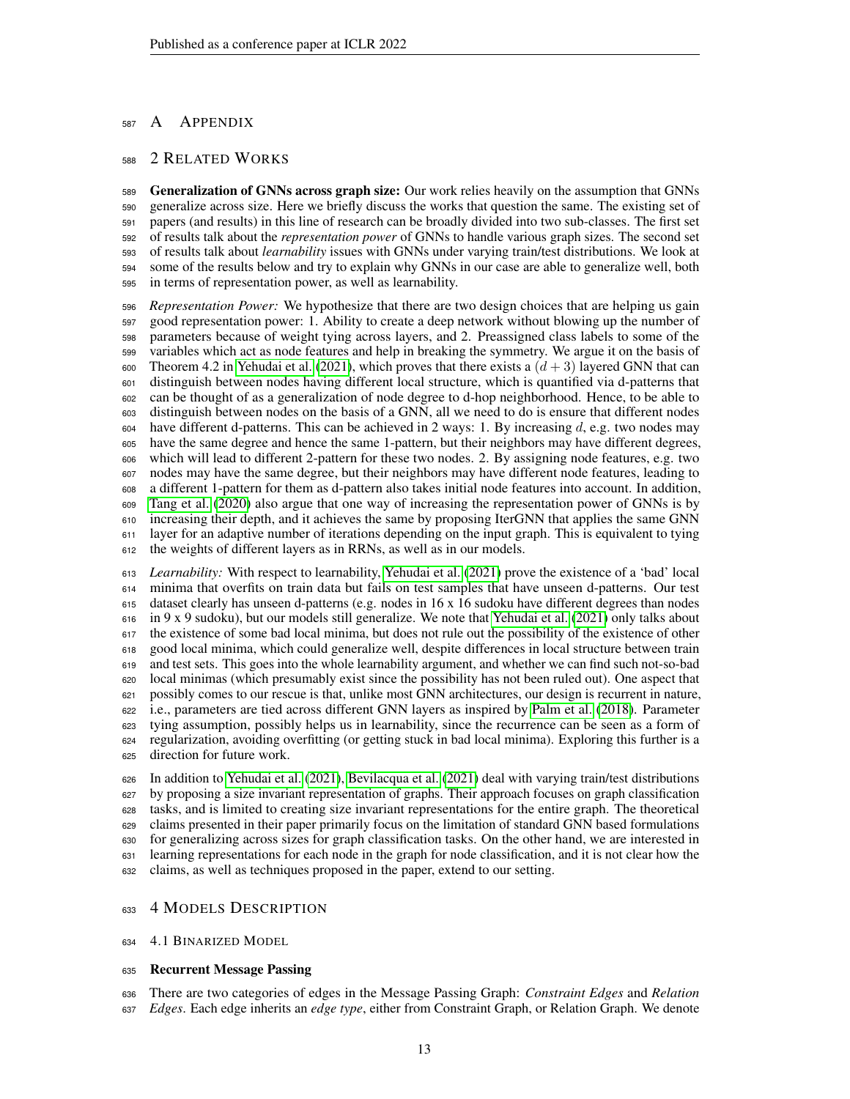# 587 A APPENDIX

# 2 RELATED WORKS

 Generalization of GNNs across graph size: Our work relies heavily on the assumption that GNNs generalize across size. Here we briefly discuss the works that question the same. The existing set of papers (and results) in this line of research can be broadly divided into two sub-classes. The first set of results talk about the *representation power* of GNNs to handle various graph sizes. The second set of results talk about *learnability* issues with GNNs under varying train/test distributions. We look at some of the results below and try to explain why GNNs in our case are able to generalize well, both in terms of representation power, as well as learnability.

 *Representation Power:* We hypothesize that there are two design choices that are helping us gain good representation power: 1. Ability to create a deep network without blowing up the number of parameters because of weight tying across layers, and 2. Preassigned class labels to some of the variables which act as node features and help in breaking the symmetry. We argue it on the basis of 600 Theorem 4.2 in [Yehudai et al.](#page-11-8) [\(2021\)](#page-11-8), which proves that there exists a  $(d+3)$  layered GNN that can distinguish between nodes having different local structure, which is quantified via d-patterns that can be thought of as a generalization of node degree to d-hop neighborhood. Hence, to be able to distinguish between nodes on the basis of a GNN, all we need to do is ensure that different nodes have different d-patterns. This can be achieved in 2 ways: 1. By increasing d, e.g. two nodes may have the same degree and hence the same 1-pattern, but their neighbors may have different degrees, which will lead to different 2-pattern for these two nodes. 2. By assigning node features, e.g. two nodes may have the same degree, but their neighbors may have different node features, leading to a different 1-pattern for them as d-pattern also takes initial node features into account. In addition, [Tang et al.](#page-11-11) [\(2020\)](#page-11-11) also argue that one way of increasing the representation power of GNNs is by increasing their depth, and it achieves the same by proposing IterGNN that applies the same GNN layer for an adaptive number of iterations depending on the input graph. This is equivalent to tying the weights of different layers as in RRNs, as well as in our models.

 *Learnability:* With respect to learnability, [Yehudai et al.](#page-11-8) [\(2021\)](#page-11-8) prove the existence of a 'bad' local minima that overfits on train data but fails on test samples that have unseen d-patterns. Our test dataset clearly has unseen d-patterns (e.g. nodes in 16 x 16 sudoku have different degrees than nodes in 9 x 9 sudoku), but our models still generalize. We note that [Yehudai et al.](#page-11-8) [\(2021\)](#page-11-8) only talks about the existence of some bad local minima, but does not rule out the possibility of the existence of other good local minima, which could generalize well, despite differences in local structure between train and test sets. This goes into the whole learnability argument, and whether we can find such not-so-bad local minimas (which presumably exist since the possibility has not been ruled out). One aspect that possibly comes to our rescue is that, unlike most GNN architectures, our design is recurrent in nature, i.e., parameters are tied across different GNN layers as inspired by [Palm et al.](#page-11-1) [\(2018\)](#page-11-1). Parameter tying assumption, possibly helps us in learnability, since the recurrence can be seen as a form of regularization, avoiding overfitting (or getting stuck in bad local minima). Exploring this further is a direction for future work.

 In addition to [Yehudai et al.](#page-11-8) [\(2021\)](#page-11-8), [Bevilacqua et al.](#page-9-4) [\(2021\)](#page-9-4) deal with varying train/test distributions by proposing a size invariant representation of graphs. Their approach focuses on graph classification tasks, and is limited to creating size invariant representations for the entire graph. The theoretical claims presented in their paper primarily focus on the limitation of standard GNN based formulations for generalizing across sizes for graph classification tasks. On the other hand, we are interested in learning representations for each node in the graph for node classification, and it is not clear how the claims, as well as techniques proposed in the paper, extend to our setting.

### 633 4 MODELS DESCRIPTION

4.1 BINARIZED MODEL

#### Recurrent Message Passing

There are two categories of edges in the Message Passing Graph: *Constraint Edges* and *Relation*

*Edges*. Each edge inherits an *edge type*, either from Constraint Graph, or Relation Graph. We denote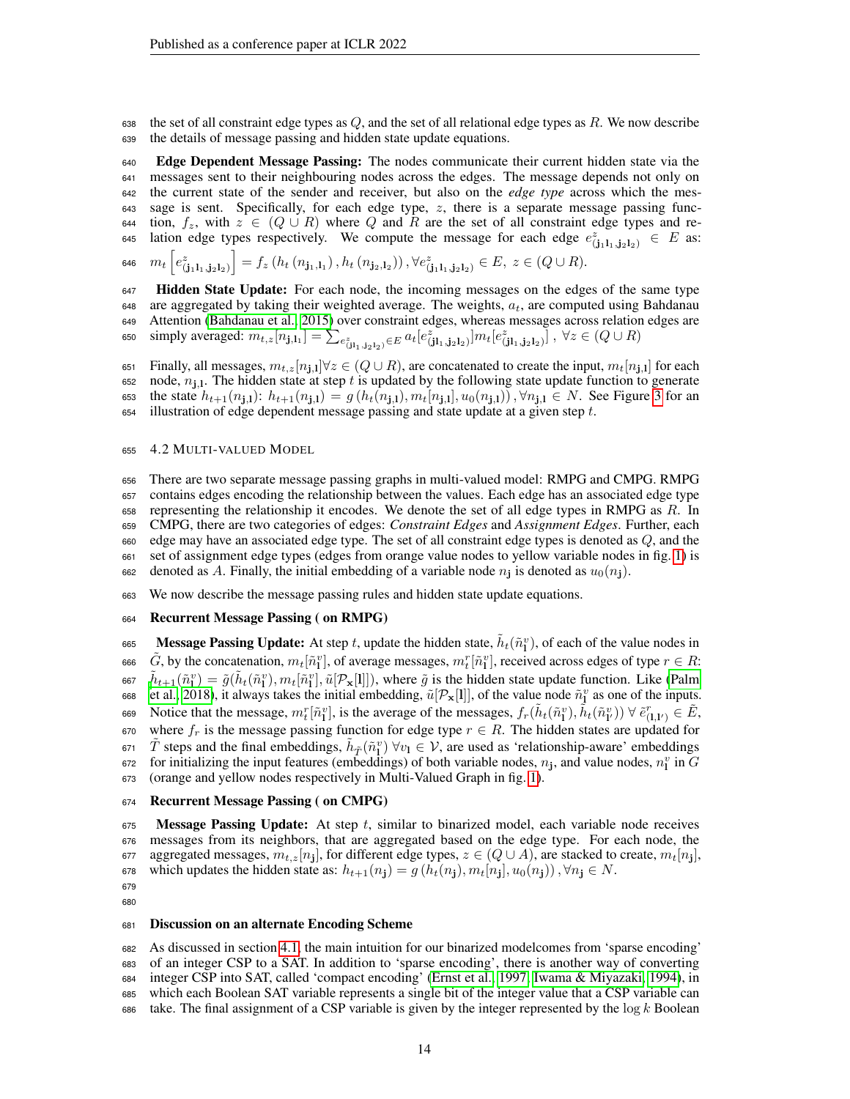the set of all constraint edge types as Q, and the set of all relational edge types as R. We now describe the details of message passing and hidden state update equations.

 Edge Dependent Message Passing: The nodes communicate their current hidden state via the messages sent to their neighbouring nodes across the edges. The message depends not only on the current state of the sender and receiver, but also on the *edge type* across which the mes- sage is sent. Specifically, for each edge type, z, there is a separate message passing func-644 tion,  $f_z$ , with  $z \in (Q \cup R)$  where Q and R are the set of all constraint edge types and re-645 lation edge types respectively. We compute the message for each edge  $e_{(j_1l_1,j_2l_2)}^z \in E$  as:

 $m_t\left[e^z_{(\mathbf{j}_1 1_1, \mathbf{j}_2 1_2)}\right] = f_z\left(h_t\left(n_{\mathbf{j}_1, 1_1}\right), h_t\left(n_{\mathbf{j}_2, 1_2}\right)\right), \forall e^z_{(\mathbf{j}_1 1_1, \mathbf{j}_2 1_2)} \in E, \ z \in (Q \cup R).$ 

647 Hidden State Update: For each node, the incoming messages on the edges of the same type are aggregated by taking their weighted average. The weights,  $a_t$ , are computed using Bahdanau Attention [\(Bahdanau et al., 2015\)](#page-9-5) over constraint edges, whereas messages across relation edges are 650 simply averaged:  $m_{t,z}[n_{\mathbf{j},\mathbf{l}_1}] = \sum_{e_{(\mathbf{j1}_1,\mathbf{j}_2\mathbf{l}_2)}^z \in E} a_t [e_{(\mathbf{j1}_1,\mathbf{j}_2\mathbf{l}_2)}^z] m_t [e_{(\mathbf{j1}_1,\mathbf{j}_2\mathbf{l}_2)}^z]$ ,  $\forall z \in (Q \cup R)$ 

651 Finally, all messages,  $m_{t,z}[n_{\mathbf{j},\mathbf{l}}]$   $\forall z \in (Q \cup R)$ , are concatenated to create the input,  $m_t[n_{\mathbf{j},\mathbf{l}}]$  for each 652 node,  $n_{j,l}$ . The hidden state at step t is updated by the following state update function to generate 653 the state  $h_{t+1}(n_{j,l})$ :  $h_{t+1}(n_{j,l}) = g(h_t(n_{j,l}), m_t[n_{j,l}], u_0(n_{j,l}))$ ,  $\forall n_{j,l} \in N$ . See Figure [3](#page-14-0) for an illustration of edge dependent message passing and state update at a given step  $t$ .

#### 4.2 MULTI-VALUED MODEL

 There are two separate message passing graphs in multi-valued model: RMPG and CMPG. RMPG contains edges encoding the relationship between the values. Each edge has an associated edge type representing the relationship it encodes. We denote the set of all edge types in RMPG as R. In CMPG, there are two categories of edges: *Constraint Edges* and *Assignment Edges*. Further, each edge may have an associated edge type. The set of all constraint edge types is denoted as Q, and the set of assignment edge types (edges from orange value nodes to yellow variable nodes in fig. [1\)](#page-3-1) is 662 denoted as A. Finally, the initial embedding of a variable node  $n_i$  is denoted as  $u_0(n_i)$ .

We now describe the message passing rules and hidden state update equations.

### Recurrent Message Passing ( on RMPG)

665 Message Passing Update: At step t, update the hidden state,  $\tilde{h}_t(\tilde{n}_1^v)$ , of each of the value nodes in 666  $\tilde{G}$ , by the concatenation,  $m_t[\tilde{n}_1^v]$ , of average messages,  $m_t^r[\tilde{n}_1^v]$ , received across edges of type  $r \in R$ : 667  $\tilde{h}_{t+1}(\tilde{n}_1^v) = \tilde{g}(\tilde{h}_t(\tilde{n}_1^v), m_t[\tilde{n}_1^v], \tilde{u}[\mathcal{P}_\mathbf{x}[1]]),$  $\tilde{h}_{t+1}(\tilde{n}_1^v) = \tilde{g}(\tilde{h}_t(\tilde{n}_1^v), m_t[\tilde{n}_1^v], \tilde{u}[\mathcal{P}_\mathbf{x}[1]]),$  $\tilde{h}_{t+1}(\tilde{n}_1^v) = \tilde{g}(\tilde{h}_t(\tilde{n}_1^v), m_t[\tilde{n}_1^v], \tilde{u}[\mathcal{P}_\mathbf{x}[1]]),$  where  $\tilde{g}$  is the hidden state update function. Like [\(Palm](#page-11-1) 668 [et al., 2018\)](#page-11-1), it always takes the initial embedding,  $\tilde{u}[\mathcal{P}_x[1]]$ , of the value node  $\tilde{n}_1^v$  as one of the inputs. 669 Notice that the message,  $m_t^r[\tilde{n}_1^v]$ , is the average of the messages,  $f_r(\tilde{h}_t(\tilde{n}_1^v), \tilde{h}_t(\tilde{n}_{1'}^v)) \forall \tilde{e}_{(1,1')}^r \in \tilde{E}$ , 670 where  $f_r$  is the message passing function for edge type  $r \in R$ . The hidden states are updated for  $\tilde{\tau}$  is steps and the final embeddings,  $\tilde{h}_{\tilde{T}}(\tilde{n}_1^v)$   $\forall v_1 \in V$ , are used as 'relationship-aware' embeddings 672 for initializing the input features (embeddings) of both variable nodes,  $n_j$ , and value nodes,  $n_l^v$  in G (orange and yellow nodes respectively in Multi-Valued Graph in fig. [1\)](#page-3-1).

### Recurrent Message Passing ( on CMPG)

 Message Passing Update: At step t, similar to binarized model, each variable node receives messages from its neighbors, that are aggregated based on the edge type. For each node, the  $\;$  aggregated messages,  $m_{t,z}[n_{\bf j}]$ , for different edge types,  $z\in (Q\cup A),$  are stacked to create,  $m_t[n_{\bf j}],$  $\forall n_i$  which updates the hidden state as:  $h_{t+1}(n_i) = g(h_t(n_i), m_t[n_i], u_0(n_i))$ ,  $\forall n_i \in N$ .

 

#### Discussion on an alternate Encoding Scheme

 As discussed in section [4.1,](#page-3-2) the main intuition for our binarized modelcomes from 'sparse encoding' of an integer CSP to a SAT. In addition to 'sparse encoding', there is another way of converting integer CSP into SAT, called 'compact encoding' [\(Ernst et al., 1997;](#page-10-11) [Iwama & Miyazaki, 1994\)](#page-10-12), in which each Boolean SAT variable represents a single bit of the integer value that a CSP variable can take. The final assignment of a CSP variable is given by the integer represented by the  $log k$  Boolean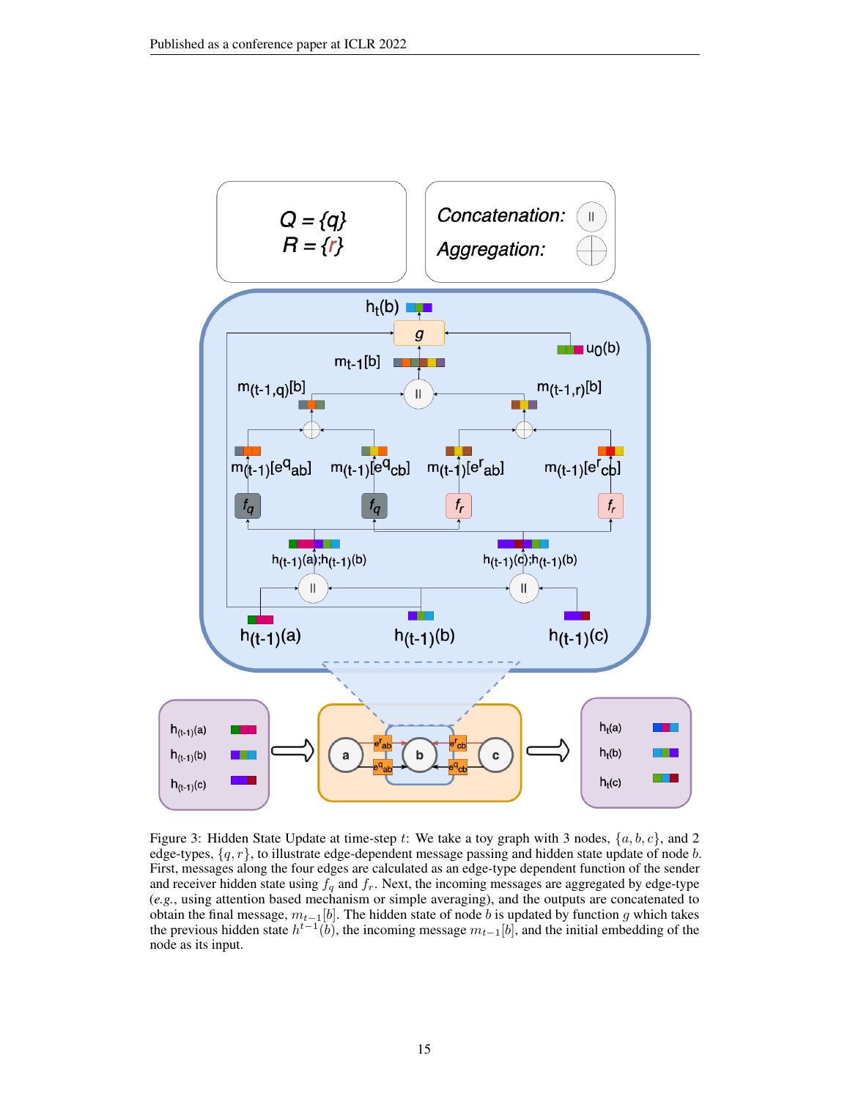<span id="page-14-0"></span>

Figure 3: Hidden State Update at time-step t: We take a toy graph with 3 nodes,  $\{a, b, c\}$ , and 2 edge-types,  $\{q, r\}$ , to illustrate edge-dependent message passing and hidden state update of node b. First, messages along the four edges are calculated as an edge-type dependent function of the sender and receiver hidden state using  $f_q$  and  $f_r$ . Next, the incoming messages are aggregated by edge-type (*e.g.*, using attention based mechanism or simple averaging), and the outputs are concatenated to obtain the final message,  $m_{t-1}[b]$ . The hidden state of node  $b$  is updated by function  $g$  which takes the previous hidden state  $h^{t-1}(b)$ , the incoming message  $m_{t-1}[b]$ , and the initial embedding of the node as its input.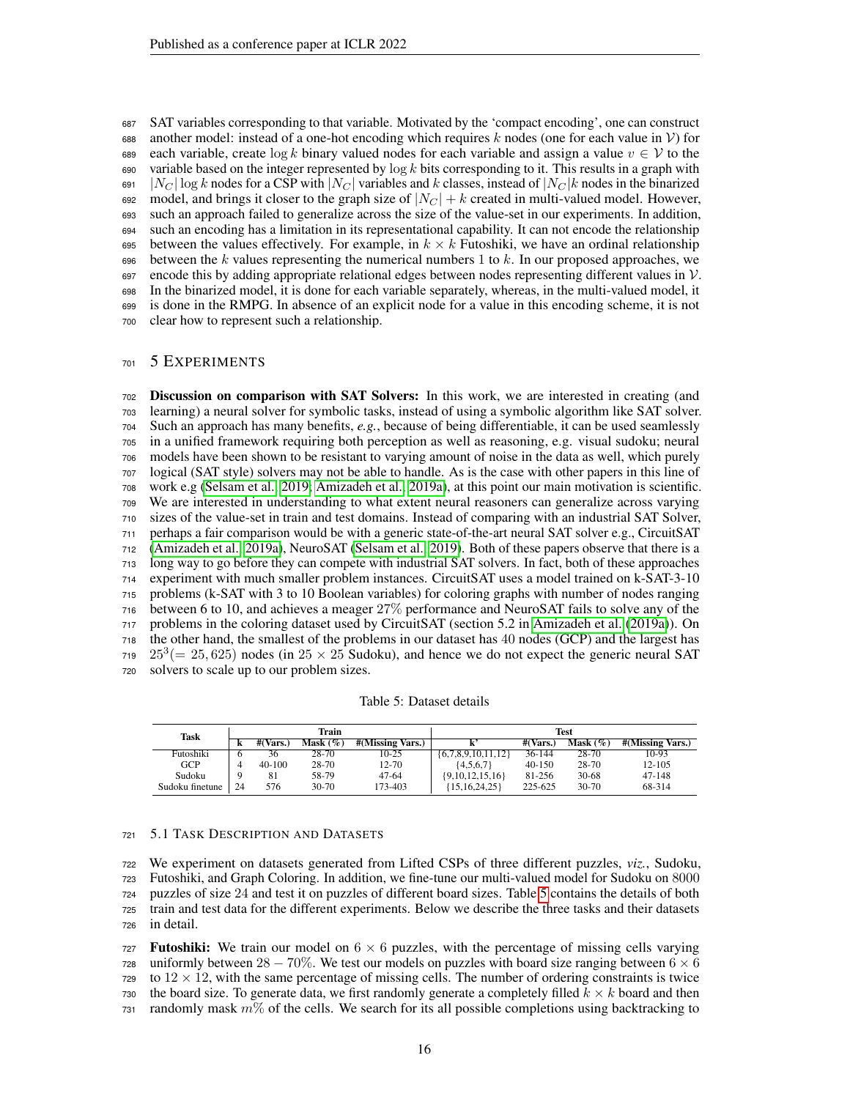SAT variables corresponding to that variable. Motivated by the 'compact encoding', one can construct 688 another model: instead of a one-hot encoding which requires k nodes (one for each value in V) for 689 each variable, create  $\log k$  binary valued nodes for each variable and assign a value  $v \in V$  to the 690 variable based on the integer represented by  $\log k$  bits corresponding to it. This results in a graph with 691 |  $N_C$  | log k nodes for a CSP with  $|N_C|$  variables and k classes, instead of  $|N_C|$  nodes in the binarized 692 model, and brings it closer to the graph size of  $|N_C| + k$  created in multi-valued model. However, such an approach failed to generalize across the size of the value-set in our experiments. In addition, such an encoding has a limitation in its representational capability. It can not encode the relationship 695 between the values effectively. For example, in  $k \times k$  Futoshiki, we have an ordinal relationship 696 between the k values representing the numerical numbers 1 to k. In our proposed approaches, we encode this by adding appropriate relational edges between nodes representing different values in  $V$ . In the binarized model, it is done for each variable separately, whereas, in the multi-valued model, it is done in the RMPG. In absence of an explicit node for a value in this encoding scheme, it is not clear how to represent such a relationship.

### 5 EXPERIMENTS

 Discussion on comparison with SAT Solvers: In this work, we are interested in creating (and learning) a neural solver for symbolic tasks, instead of using a symbolic algorithm like SAT solver. Such an approach has many benefits, *e.g.*, because of being differentiable, it can be used seamlessly in a unified framework requiring both perception as well as reasoning, e.g. visual sudoku; neural models have been shown to be resistant to varying amount of noise in the data as well, which purely logical (SAT style) solvers may not be able to handle. As is the case with other papers in this line of work e.g [\(Selsam et al., 2019;](#page-11-2) [Amizadeh et al., 2019a\)](#page-9-0), at this point our main motivation is scientific. We are interested in understanding to what extent neural reasoners can generalize across varying sizes of the value-set in train and test domains. Instead of comparing with an industrial SAT Solver, perhaps a fair comparison would be with a generic state-of-the-art neural SAT solver e.g., CircuitSAT [\(Amizadeh et al., 2019a\)](#page-9-0), NeuroSAT [\(Selsam et al., 2019\)](#page-11-2). Both of these papers observe that there is a long way to go before they can compete with industrial SAT solvers. In fact, both of these approaches experiment with much smaller problem instances. CircuitSAT uses a model trained on k-SAT-3-10 problems (k-SAT with 3 to 10 Boolean variables) for coloring graphs with number of nodes ranging between 6 to 10, and achieves a meager 27% performance and NeuroSAT fails to solve any of the problems in the coloring dataset used by CircuitSAT (section 5.2 in [Amizadeh et al.](#page-9-0) [\(2019a\)](#page-9-0)). On the other hand, the smallest of the problems in our dataset has 40 nodes (GCP) and the largest has  $25^3 (= 25, 625)$  nodes (in  $25 \times 25$  Sudoku), and hence we do not expect the generic neural SAT solvers to scale up to our problem sizes.

Table 5: Dataset details

<span id="page-15-0"></span>

| Task            | Train |                              |             |                  | Test                    |            |             |                  |
|-----------------|-------|------------------------------|-------------|------------------|-------------------------|------------|-------------|------------------|
|                 | k     | $\#(\overline{\text{Vars}})$ | Mask $(\%)$ | #(Missing Vars.) |                         | #(Vars.)   | Mask $(\%)$ | #(Missing Vars.) |
| Futoshiki       |       | 36                           | 28-70       | $10-25$          | $\{6,7,8,9,10,11,12\}$  | $36 - 144$ | 28-70       | 10-93            |
| <b>GCP</b>      |       | $40 - 100$                   | 28-70       | 12-70            | ${4,5,6,7}$             | 40-150     | 28-70       | 12-105           |
| Sudoku          |       | 81                           | 58-79       | 47-64            | $\{9, 10, 12, 15, 16\}$ | 81-256     | 30-68       | 47-148           |
| Sudoku finetune | 24    | 576                          | $30-70$     | 173-403          | 15,16,24,25             | 225-625    | $30 - 70$   | 68-314           |

#### 5.1 TASK DESCRIPTION AND DATASETS

 We experiment on datasets generated from Lifted CSPs of three different puzzles, *viz.*, Sudoku, Futoshiki, and Graph Coloring. In addition, we fine-tune our multi-valued model for Sudoku on 8000 puzzles of size 24 and test it on puzzles of different board sizes. Table [5](#page-15-0) contains the details of both train and test data for the different experiments. Below we describe the three tasks and their datasets in detail.

727 **Futoshiki:** We train our model on  $6 \times 6$  puzzles, with the percentage of missing cells varying 728 uniformly between  $28 - 70\%$ . We test our models on puzzles with board size ranging between  $6 \times 6$  to  $12 \times 12$ , with the same percentage of missing cells. The number of ordering constraints is twice 730 the board size. To generate data, we first randomly generate a completely filled  $k \times k$  board and then 731 randomly mask  $m\%$  of the cells. We search for its all possible completions using backtracking to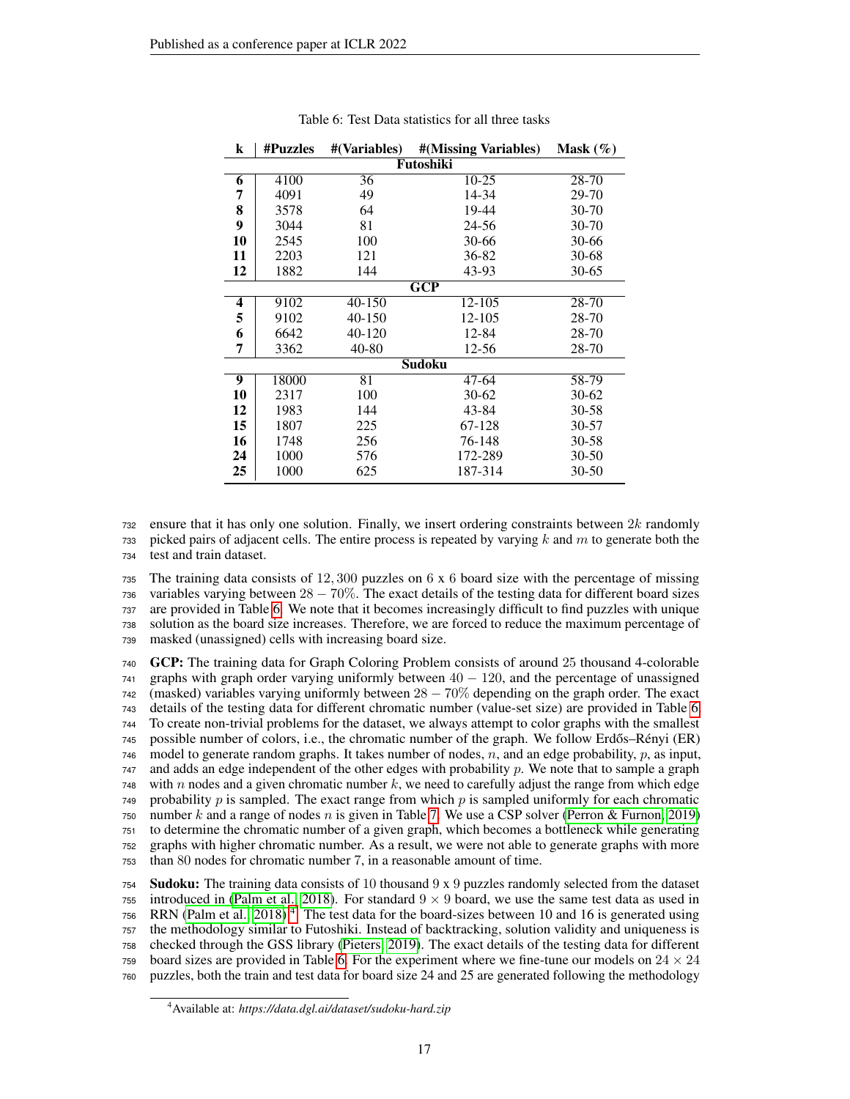<span id="page-16-0"></span>

| $\bf k$ | <b>#Puzzles</b> | #(Variables)    | #(Missing Variables)    | Mask $(\%)$ |  |  |  |  |  |
|---------|-----------------|-----------------|-------------------------|-------------|--|--|--|--|--|
|         | Futoshiki       |                 |                         |             |  |  |  |  |  |
| 6       | 4100            | 36              | $10-25$                 | 28-70       |  |  |  |  |  |
| 7       | 4091            | 49              | 14-34                   | 29-70       |  |  |  |  |  |
| 8       | 3578            | 64              | 19-44                   | $30 - 70$   |  |  |  |  |  |
| 9       | 3044            | 81              | 24-56                   | 30-70       |  |  |  |  |  |
| 10      | 2545            | 100             | 30-66                   | 30-66       |  |  |  |  |  |
| 11      | 2203            | 121             | 36-82                   | $30 - 68$   |  |  |  |  |  |
| 12      | 1882            | 144             | 43-93                   | 30-65       |  |  |  |  |  |
|         |                 |                 | $\overline{\text{GCP}}$ |             |  |  |  |  |  |
| 4       | 9102            | 40-150          | 12-105                  | 28-70       |  |  |  |  |  |
| 5       | 9102            | 40-150          | 12-105                  | 28-70       |  |  |  |  |  |
| 6       | 6642            | 40-120          | 12-84                   | 28-70       |  |  |  |  |  |
| 7       | 3362            | 40-80           | 12-56                   | 28-70       |  |  |  |  |  |
|         |                 |                 | <b>Sudoku</b>           |             |  |  |  |  |  |
| 9       | 18000           | $\overline{81}$ | 47-64                   | 58-79       |  |  |  |  |  |
| 10      | 2317            | 100             | $30-62$                 | $30-62$     |  |  |  |  |  |
| 12      | 1983            | 144             | 43-84                   | 30-58       |  |  |  |  |  |
| 15      | 1807            | 225             | 67-128                  | 30-57       |  |  |  |  |  |
| 16      | 1748            | 256             | 76-148                  | $30 - 58$   |  |  |  |  |  |
| 24      | 1000            | 576             | 172-289                 | $30 - 50$   |  |  |  |  |  |
| 25      | 1000            | 625             | 187-314                 | $30 - 50$   |  |  |  |  |  |

Table 6: Test Data statistics for all three tasks

 ensure that it has only one solution. Finally, we insert ordering constraints between  $2k$  randomly 733 picked pairs of adjacent cells. The entire process is repeated by varying  $k$  and  $m$  to generate both the test and train dataset.

 The training data consists of 12, 300 puzzles on 6 x 6 board size with the percentage of missing variables varying between  $28 - 70\%$ . The exact details of the testing data for different board sizes are provided in Table [6.](#page-16-0) We note that it becomes increasingly difficult to find puzzles with unique solution as the board size increases. Therefore, we are forced to reduce the maximum percentage of masked (unassigned) cells with increasing board size.

 GCP: The training data for Graph Coloring Problem consists of around 25 thousand 4-colorable graphs with graph order varying uniformly between  $40 - 120$ , and the percentage of unassigned (masked) variables varying uniformly between  $28 - 70\%$  depending on the graph order. The exact details of the testing data for different chromatic number (value-set size) are provided in Table [6.](#page-16-0) To create non-trivial problems for the dataset, we always attempt to color graphs with the smallest 745 possible number of colors, i.e., the chromatic number of the graph. We follow Erdős–Rényi (ER)  $746 \mod 10$  model to generate random graphs. It takes number of nodes, n, and an edge probability, p, as input, and adds an edge independent of the other edges with probability p. We note that to sample a graph with n nodes and a given chromatic number k, we need to carefully adjust the range from which edge probability p is sampled. The exact range from which p is sampled uniformly for each chromatic 750 number k and a range of nodes n is given in Table [7.](#page-17-0) We use a CSP solver [\(Perron & Furnon, 2019\)](#page-11-12) to determine the chromatic number of a given graph, which becomes a bottleneck while generating graphs with higher chromatic number. As a result, we were not able to generate graphs with more than 80 nodes for chromatic number 7, in a reasonable amount of time.

754 Sudoku: The training data consists of 10 thousand  $9 \times 9$  puzzles randomly selected from the dataset 755 introduced in [\(Palm et al., 2018\)](#page-11-1). For standard  $9 \times 9$  board, we use the same test data as used in 756 RRN [\(Palm et al., 2018\)](#page-11-1)<sup>[4](#page-16-1)</sup>. The test data for the board-sizes between 10 and 16 is generated using the methodology similar to Futoshiki. Instead of backtracking, solution validity and uniqueness is checked through the GSS library [\(Pieters, 2019\)](#page-11-10). The exact details of the testing data for different board sizes are provided in Table [6.](#page-16-0) For the experiment where we fine-tune our models on  $24 \times 24$ puzzles, both the train and test data for board size 24 and 25 are generated following the methodology

<span id="page-16-1"></span>Available at: *https://data.dgl.ai/dataset/sudoku-hard.zip*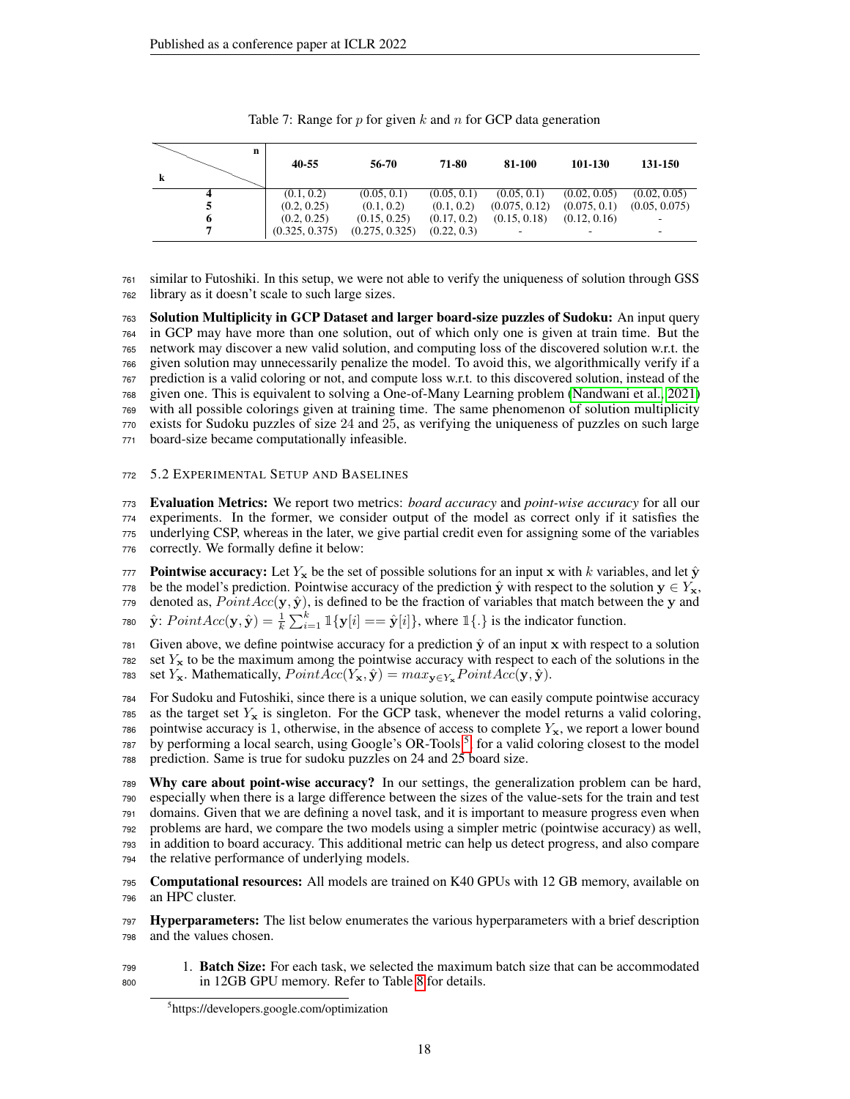<span id="page-17-0"></span>

| n<br>k | 40-55          | 56-70          | 71-80       | 81-100        | 101-130      | 131-150       |
|--------|----------------|----------------|-------------|---------------|--------------|---------------|
|        | (0.1, 0.2)     | (0.05, 0.1)    | (0.05, 0.1) | (0.05, 0.1)   | (0.02, 0.05) | (0.02, 0.05)  |
|        | (0.2, 0.25)    | (0.1, 0.2)     | (0.1, 0.2)  | (0.075, 0.12) | (0.075, 0.1) | (0.05, 0.075) |
| 6      | (0.2, 0.25)    | (0.15, 0.25)   | (0.17, 0.2) | (0.15, 0.18)  | (0.12, 0.16) |               |
|        | (0.325, 0.375) | (0.275, 0.325) | (0.22, 0.3) | -             |              |               |

 similar to Futoshiki. In this setup, we were not able to verify the uniqueness of solution through GSS library as it doesn't scale to such large sizes.

 Solution Multiplicity in GCP Dataset and larger board-size puzzles of Sudoku: An input query in GCP may have more than one solution, out of which only one is given at train time. But the network may discover a new valid solution, and computing loss of the discovered solution w.r.t. the given solution may unnecessarily penalize the model. To avoid this, we algorithmically verify if a prediction is a valid coloring or not, and compute loss w.r.t. to this discovered solution, instead of the given one. This is equivalent to solving a One-of-Many Learning problem [\(Nandwani et al., 2021\)](#page-11-7) with all possible colorings given at training time. The same phenomenon of solution multiplicity exists for Sudoku puzzles of size 24 and 25, as verifying the uniqueness of puzzles on such large board-size became computationally infeasible.

### 5.2 EXPERIMENTAL SETUP AND BASELINES

 Evaluation Metrics: We report two metrics: *board accuracy* and *point-wise accuracy* for all our experiments. In the former, we consider output of the model as correct only if it satisfies the underlying CSP, whereas in the later, we give partial credit even for assigning some of the variables correctly. We formally define it below:

**Pointwise accuracy:** Let  $Y_x$  be the set of possible solutions for an input x with k variables, and let  $\hat{y}$ 778 be the model's prediction. Pointwise accuracy of the prediction  $\hat{y}$  with respect to the solution  $y \in Y_x$ , 779 denoted as,  $PointAcc(y, \hat{y})$ , is defined to be the fraction of variables that match between the y and 780  $\hat{\mathbf{y}}$ :  $PointAcc(\mathbf{y}, \hat{\mathbf{y}}) = \frac{1}{k} \sum_{i=1}^{k} \mathbb{1}\{\mathbf{y}[i] == \hat{\mathbf{y}}[i]\}$ , where  $\mathbb{1}\{.\}$  is the indicator function.

781 Given above, we define pointwise accuracy for a prediction  $\hat{y}$  of an input x with respect to a solution set  $Y_x$  to be the maximum among the pointwise accuracy with respect to each of the solutions in the 783 set Y<sub>x</sub>. Mathematically,  $PointAcc(Y_x, \hat{y}) = max_{y \in Y_x} PointAcc(y, \hat{y})$ .

 For Sudoku and Futoshiki, since there is a unique solution, we can easily compute pointwise accuracy 785 as the target set  $Y_x$  is singleton. For the GCP task, whenever the model returns a valid coloring, pointwise accuracy is 1, otherwise, in the absence of access to complete  $Y_x$ , we report a lower bound 787 by performing a local search, using Google's OR-Tools<sup>[5](#page-17-1)</sup>, for a valid coloring closest to the model prediction. Same is true for sudoku puzzles on 24 and 25 board size.

 Why care about point-wise accuracy? In our settings, the generalization problem can be hard, especially when there is a large difference between the sizes of the value-sets for the train and test domains. Given that we are defining a novel task, and it is important to measure progress even when problems are hard, we compare the two models using a simpler metric (pointwise accuracy) as well, in addition to board accuracy. This additional metric can help us detect progress, and also compare the relative performance of underlying models.

 Computational resources: All models are trained on K40 GPUs with 12 GB memory, available on an HPC cluster.

797 Hyperparameters: The list below enumerates the various hyperparameters with a brief description and the values chosen.

 1. Batch Size: For each task, we selected the maximum batch size that can be accommodated in 12GB GPU memory. Refer to Table [8](#page-18-0) for details.

<span id="page-17-1"></span>https://developers.google.com/optimization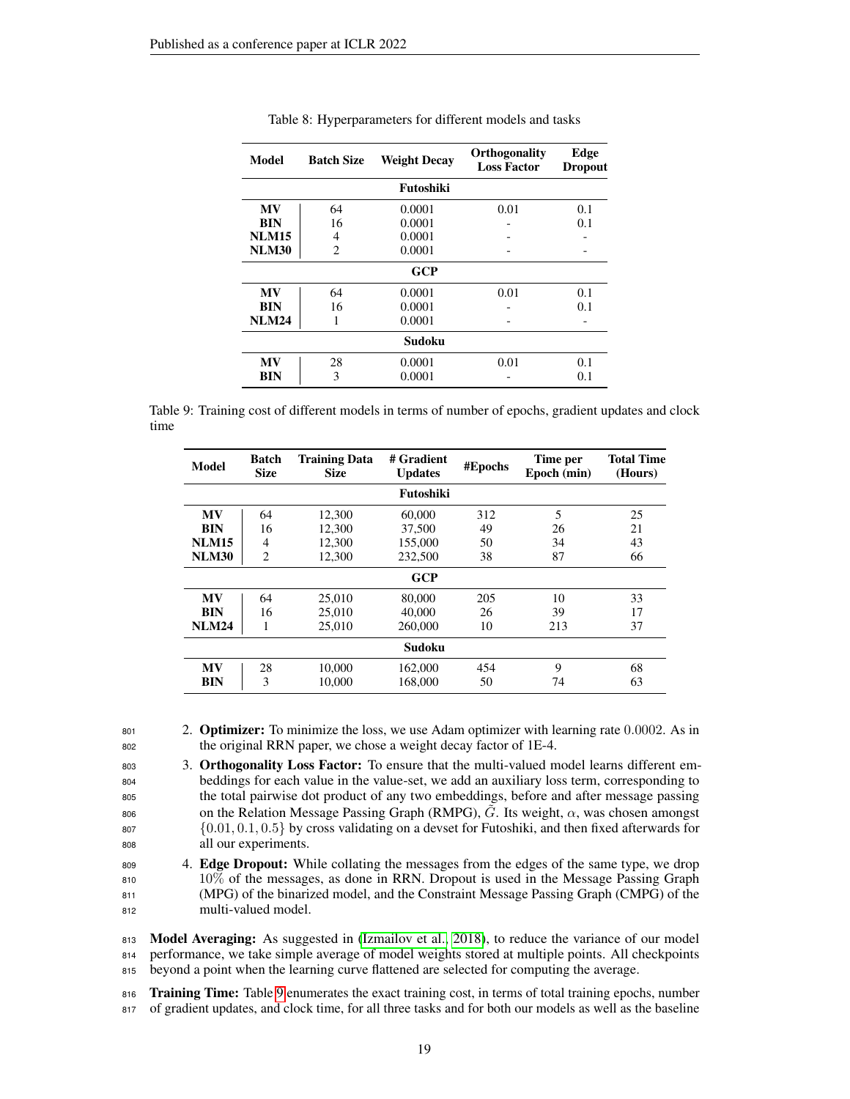<span id="page-18-0"></span>

| Model<br><b>Batch Size</b> |    | <b>Weight Decay</b> | <b>Orthogonality</b><br><b>Loss Factor</b> | Edge<br><b>Dropout</b> |
|----------------------------|----|---------------------|--------------------------------------------|------------------------|
|                            |    | Futoshiki           |                                            |                        |
| <b>MV</b>                  | 64 | 0.0001              | 0.01                                       | 0.1                    |
| <b>BIN</b>                 | 16 | 0.0001              |                                            | 0.1                    |
| <b>NLM15</b>               | 4  | 0.0001              |                                            |                        |
| <b>NLM30</b>               | 2  | 0.0001              |                                            |                        |
|                            |    | GCP                 |                                            |                        |
| <b>MV</b>                  | 64 | 0.0001              | 0.01                                       | 0.1                    |
| BIN                        | 16 | 0.0001              |                                            | 0.1                    |
| <b>NLM24</b>               |    | 0.0001              |                                            |                        |
|                            |    | Sudoku              |                                            |                        |
| <b>MV</b>                  | 28 | 0.0001              | 0.01                                       | 0.1                    |
| BIN                        | 3  | 0.0001              |                                            | 0.1                    |

#### Table 8: Hyperparameters for different models and tasks

<span id="page-18-1"></span>Table 9: Training cost of different models in terms of number of epochs, gradient updates and clock time

| Model        | Batch<br><b>Size</b> | <b>Training Data</b><br><b>Size</b> | # Gradient<br><b>Updates</b> | #Epochs | Time per<br>Epoch (min) | <b>Total Time</b><br>(Hours) |  |
|--------------|----------------------|-------------------------------------|------------------------------|---------|-------------------------|------------------------------|--|
|              |                      |                                     | Futoshiki                    |         |                         |                              |  |
| <b>MV</b>    | 64                   | 12,300                              | 60,000                       | 312     | 5                       | 25                           |  |
| <b>BIN</b>   | 16                   | 12,300                              | 37,500                       | 49      | 26                      | 21                           |  |
| <b>NLM15</b> | 4                    | 12,300                              | 155,000                      | 50      | 34                      | 43                           |  |
| <b>NLM30</b> | $\overline{2}$       | 12,300                              | 232,500                      | 38      | 87                      | 66                           |  |
|              |                      |                                     | <b>GCP</b>                   |         |                         |                              |  |
| MV           | 64                   | 25,010                              | 80,000                       | 205     | 10                      | 33                           |  |
| <b>BIN</b>   | 16                   | 25,010                              | 40,000                       | 26      | 39                      | 17                           |  |
| <b>NLM24</b> | 1                    | 25,010                              | 260,000                      | 10      | 213                     | 37                           |  |
|              | Sudoku               |                                     |                              |         |                         |                              |  |
| <b>MV</b>    | 28                   | 10,000                              | 162,000                      | 454     | 9                       | 68                           |  |
| BIN          | 3                    | 10.000                              | 168,000                      | 50      | 74                      | 63                           |  |

801 2. **Optimizer:** To minimize the loss, we use Adam optimizer with learning rate 0.0002. As in <sup>802</sup> the original RRN paper, we chose a weight decay factor of 1E-4.

803 3. Orthogonality Loss Factor: To ensure that the multi-valued model learns different em-<sup>804</sup> beddings for each value in the value-set, we add an auxiliary loss term, corresponding to <sup>805</sup> the total pairwise dot product of any two embeddings, before and after message passing  $\delta$ <sub>806</sub> . Its weight,  $\alpha$ , was chosen amongst on the Relation Message Passing Graph (RMPG),  $G$ . Its weight,  $\alpha$ , was chosen amongst  ${0.01, 0.1, 0.5}$  by cross validating on a devset for Futoshiki, and then fixed afterwards for <sup>808</sup> all our experiments.

809 4. **Edge Dropout:** While collating the messages from the edges of the same type, we drop 10% of the messages, as done in RRN. Dropout is used in the Message Passing Graph (MPG) of the binarized model, and the Constraint Message Passing Graph (CMPG) of the multi-valued model.

813 Model Averaging: As suggested in [\(Izmailov et al., 2018\)](#page-10-10), to reduce the variance of our model <sup>814</sup> performance, we take simple average of model weights stored at multiple points. All checkpoints <sup>815</sup> beyond a point when the learning curve flattened are selected for computing the average.

816 Training Time: Table [9](#page-18-1) enumerates the exact training cost, in terms of total training epochs, number <sup>817</sup> of gradient updates, and clock time, for all three tasks and for both our models as well as the baseline